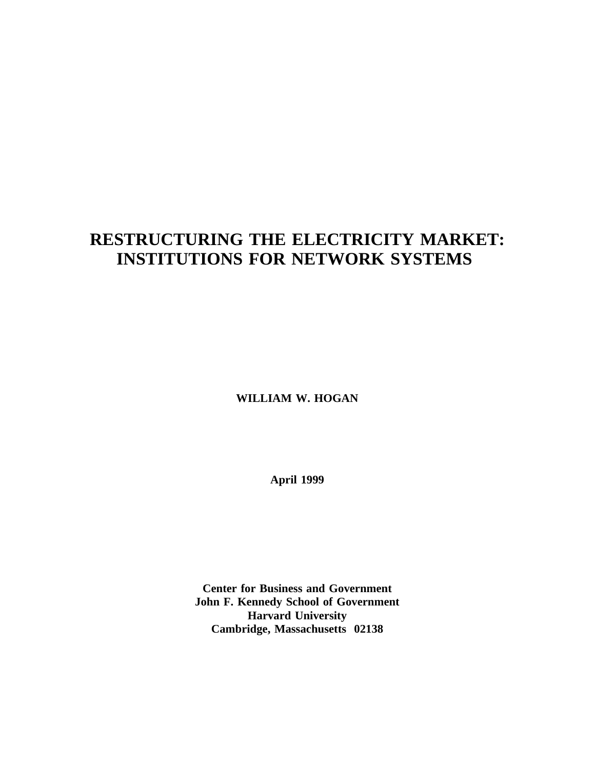# **RESTRUCTURING THE ELECTRICITY MARKET: INSTITUTIONS FOR NETWORK SYSTEMS**

**WILLIAM W. HOGAN**

**April 1999**

**Center for Business and Government John F. Kennedy School of Government Harvard University Cambridge, Massachusetts 02138**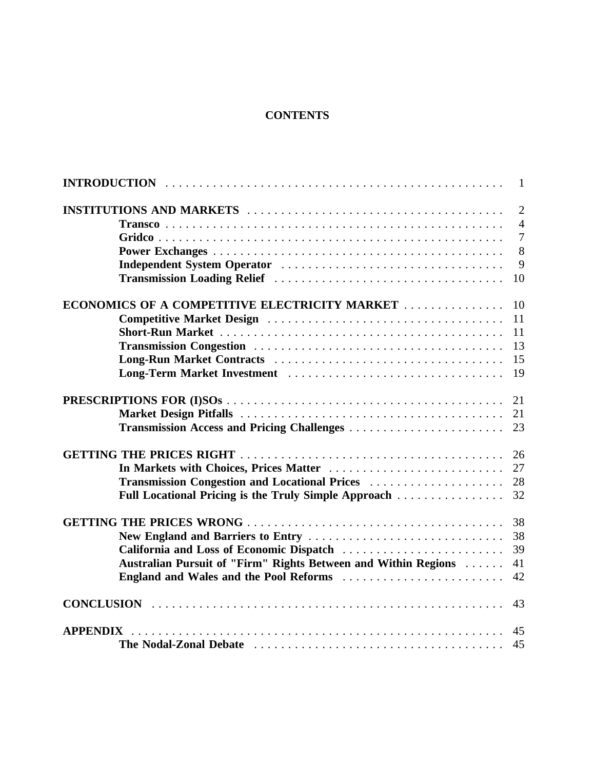# **CONTENTS**

|                                                                | 1              |
|----------------------------------------------------------------|----------------|
|                                                                | $\overline{2}$ |
|                                                                | $\overline{4}$ |
|                                                                | $\overline{7}$ |
|                                                                | 8              |
|                                                                | 9              |
|                                                                | 10             |
| <b>ECONOMICS OF A COMPETITIVE ELECTRICITY MARKET </b>          | 10             |
|                                                                | 11             |
|                                                                | 11             |
|                                                                | 13             |
|                                                                | 15             |
|                                                                | 19             |
|                                                                | 21             |
|                                                                | 21             |
|                                                                | 23             |
|                                                                | 26             |
| In Markets with Choices, Prices Matter                         | 27             |
| Transmission Congestion and Locational Prices                  | 28             |
| Full Locational Pricing is the Truly Simple Approach           | 32             |
|                                                                | 38             |
| New England and Barriers to Entry                              | 38             |
|                                                                | 39             |
| Australian Pursuit of "Firm" Rights Between and Within Regions | 41             |
| England and Wales and the Pool Reforms                         | 42             |
|                                                                | 43             |
| <b>APPENDIX</b>                                                | 45             |
|                                                                | 45             |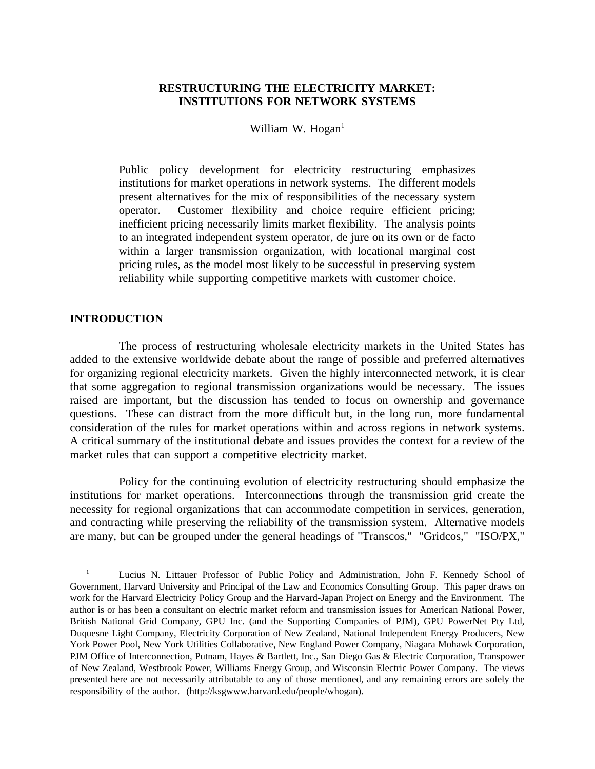# **RESTRUCTURING THE ELECTRICITY MARKET: INSTITUTIONS FOR NETWORK SYSTEMS**

William W.  $Hogan<sup>1</sup>$ 

Public policy development for electricity restructuring emphasizes institutions for market operations in network systems. The different models present alternatives for the mix of responsibilities of the necessary system operator. Customer flexibility and choice require efficient pricing; inefficient pricing necessarily limits market flexibility. The analysis points to an integrated independent system operator, de jure on its own or de facto within a larger transmission organization, with locational marginal cost pricing rules, as the model most likely to be successful in preserving system reliability while supporting competitive markets with customer choice.

# **INTRODUCTION**

The process of restructuring wholesale electricity markets in the United States has added to the extensive worldwide debate about the range of possible and preferred alternatives for organizing regional electricity markets. Given the highly interconnected network, it is clear that some aggregation to regional transmission organizations would be necessary. The issues raised are important, but the discussion has tended to focus on ownership and governance questions. These can distract from the more difficult but, in the long run, more fundamental consideration of the rules for market operations within and across regions in network systems. A critical summary of the institutional debate and issues provides the context for a review of the market rules that can support a competitive electricity market.

Policy for the continuing evolution of electricity restructuring should emphasize the institutions for market operations. Interconnections through the transmission grid create the necessity for regional organizations that can accommodate competition in services, generation, and contracting while preserving the reliability of the transmission system. Alternative models are many, but can be grouped under the general headings of "Transcos," "Gridcos," "ISO/PX,"

<sup>&</sup>lt;sup>1</sup> Lucius N. Littauer Professor of Public Policy and Administration, John F. Kennedy School of Government, Harvard University and Principal of the Law and Economics Consulting Group. This paper draws on work for the Harvard Electricity Policy Group and the Harvard-Japan Project on Energy and the Environment. The author is or has been a consultant on electric market reform and transmission issues for American National Power, British National Grid Company, GPU Inc. (and the Supporting Companies of PJM), GPU PowerNet Pty Ltd, Duquesne Light Company, Electricity Corporation of New Zealand, National Independent Energy Producers, New York Power Pool, New York Utilities Collaborative, New England Power Company, Niagara Mohawk Corporation, PJM Office of Interconnection, Putnam, Hayes & Bartlett, Inc., San Diego Gas & Electric Corporation, Transpower of New Zealand, Westbrook Power, Williams Energy Group, and Wisconsin Electric Power Company. The views presented here are not necessarily attributable to any of those mentioned, and any remaining errors are solely the responsibility of the author. (http://ksgwww.harvard.edu/people/whogan).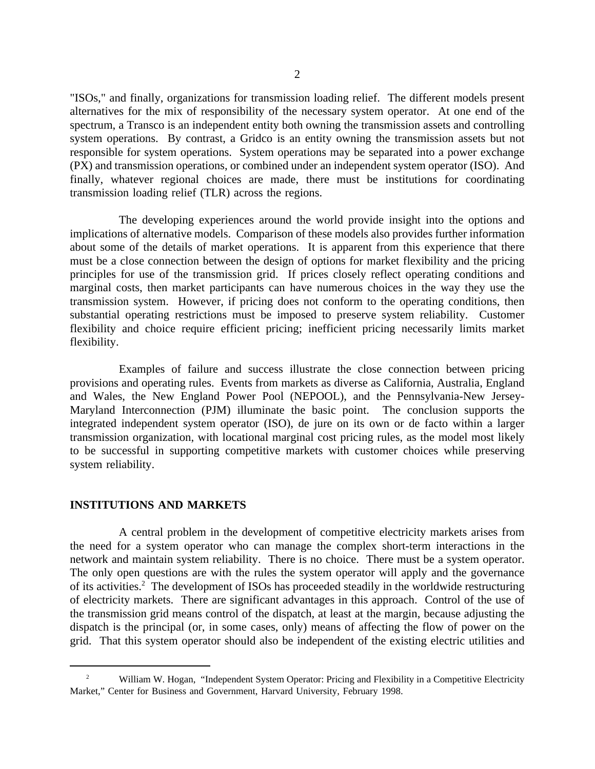"ISOs," and finally, organizations for transmission loading relief. The different models present alternatives for the mix of responsibility of the necessary system operator. At one end of the spectrum, a Transco is an independent entity both owning the transmission assets and controlling system operations. By contrast, a Gridco is an entity owning the transmission assets but not responsible for system operations. System operations may be separated into a power exchange (PX) and transmission operations, or combined under an independent system operator (ISO). And finally, whatever regional choices are made, there must be institutions for coordinating transmission loading relief (TLR) across the regions.

The developing experiences around the world provide insight into the options and implications of alternative models. Comparison of these models also provides further information about some of the details of market operations. It is apparent from this experience that there must be a close connection between the design of options for market flexibility and the pricing principles for use of the transmission grid. If prices closely reflect operating conditions and marginal costs, then market participants can have numerous choices in the way they use the transmission system. However, if pricing does not conform to the operating conditions, then substantial operating restrictions must be imposed to preserve system reliability. Customer flexibility and choice require efficient pricing; inefficient pricing necessarily limits market flexibility.

Examples of failure and success illustrate the close connection between pricing provisions and operating rules. Events from markets as diverse as California, Australia, England and Wales, the New England Power Pool (NEPOOL), and the Pennsylvania-New Jersey-Maryland Interconnection (PJM) illuminate the basic point. The conclusion supports the integrated independent system operator (ISO), de jure on its own or de facto within a larger transmission organization, with locational marginal cost pricing rules, as the model most likely to be successful in supporting competitive markets with customer choices while preserving system reliability.

# **INSTITUTIONS AND MARKETS**

A central problem in the development of competitive electricity markets arises from the need for a system operator who can manage the complex short-term interactions in the network and maintain system reliability. There is no choice. There must be a system operator. The only open questions are with the rules the system operator will apply and the governance of its activities.<sup>2</sup> The development of ISOs has proceeded steadily in the worldwide restructuring of electricity markets. There are significant advantages in this approach. Control of the use of the transmission grid means control of the dispatch, at least at the margin, because adjusting the dispatch is the principal (or, in some cases, only) means of affecting the flow of power on the grid. That this system operator should also be independent of the existing electric utilities and

William W. Hogan, "Independent System Operator: Pricing and Flexibility in a Competitive Electricity Market," Center for Business and Government, Harvard University, February 1998.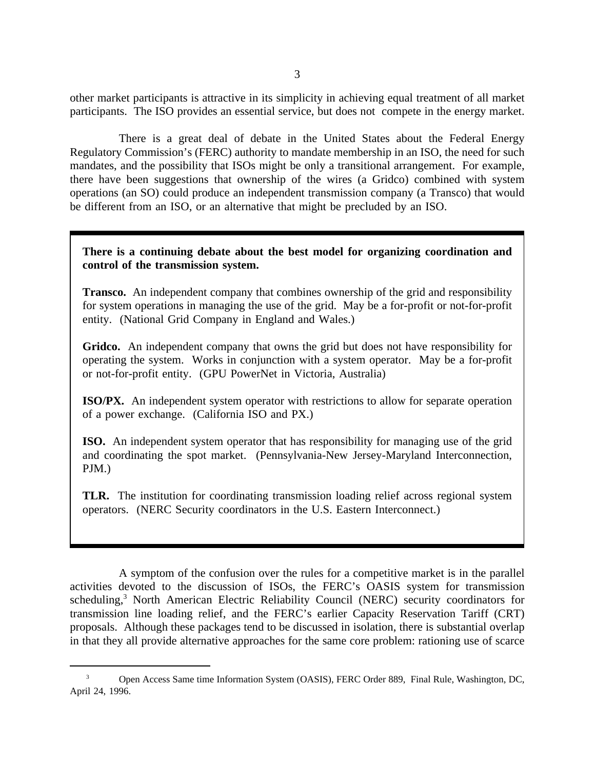other market participants is attractive in its simplicity in achieving equal treatment of all market participants. The ISO provides an essential service, but does not compete in the energy market.

There is a great deal of debate in the United States about the Federal Energy Regulatory Commission's (FERC) authority to mandate membership in an ISO, the need for such mandates, and the possibility that ISOs might be only a transitional arrangement. For example, there have been suggestions that ownership of the wires (a Gridco) combined with system operations (an SO) could produce an independent transmission company (a Transco) that would be different from an ISO, or an alternative that might be precluded by an ISO.

**There is a continuing debate about the best model for organizing coordination and control of the transmission system.**

**Transco.** An independent company that combines ownership of the grid and responsibility for system operations in managing the use of the grid. May be a for-profit or not-for-profit entity. (National Grid Company in England and Wales.)

**Gridco.** An independent company that owns the grid but does not have responsibility for operating the system. Works in conjunction with a system operator. May be a for-profit or not-for-profit entity. (GPU PowerNet in Victoria, Australia)

**ISO/PX.** An independent system operator with restrictions to allow for separate operation of a power exchange. (California ISO and PX.)

**ISO.** An independent system operator that has responsibility for managing use of the grid and coordinating the spot market. (Pennsylvania-New Jersey-Maryland Interconnection, PJM.)

**TLR.** The institution for coordinating transmission loading relief across regional system operators. (NERC Security coordinators in the U.S. Eastern Interconnect.)

A symptom of the confusion over the rules for a competitive market is in the parallel activities devoted to the discussion of ISOs, the FERC's OASIS system for transmission scheduling,<sup>3</sup> North American Electric Reliability Council (NERC) security coordinators for transmission line loading relief, and the FERC's earlier Capacity Reservation Tariff (CRT) proposals. Although these packages tend to be discussed in isolation, there is substantial overlap in that they all provide alternative approaches for the same core problem: rationing use of scarce

<sup>3</sup> Open Access Same time Information System (OASIS), FERC Order 889, Final Rule, Washington, DC, April 24, 1996.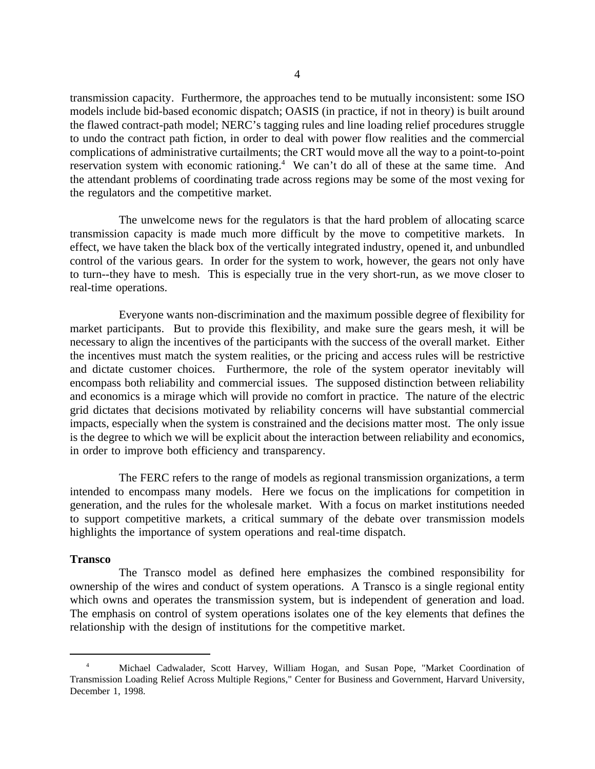transmission capacity. Furthermore, the approaches tend to be mutually inconsistent: some ISO models include bid-based economic dispatch; OASIS (in practice, if not in theory) is built around the flawed contract-path model; NERC's tagging rules and line loading relief procedures struggle to undo the contract path fiction, in order to deal with power flow realities and the commercial complications of administrative curtailments; the CRT would move all the way to a point-to-point reservation system with economic rationing.<sup>4</sup> We can't do all of these at the same time. And the attendant problems of coordinating trade across regions may be some of the most vexing for the regulators and the competitive market.

The unwelcome news for the regulators is that the hard problem of allocating scarce transmission capacity is made much more difficult by the move to competitive markets. In effect, we have taken the black box of the vertically integrated industry, opened it, and unbundled control of the various gears. In order for the system to work, however, the gears not only have to turn--they have to mesh. This is especially true in the very short-run, as we move closer to real-time operations.

Everyone wants non-discrimination and the maximum possible degree of flexibility for market participants. But to provide this flexibility, and make sure the gears mesh, it will be necessary to align the incentives of the participants with the success of the overall market. Either the incentives must match the system realities, or the pricing and access rules will be restrictive and dictate customer choices. Furthermore, the role of the system operator inevitably will encompass both reliability and commercial issues. The supposed distinction between reliability and economics is a mirage which will provide no comfort in practice. The nature of the electric grid dictates that decisions motivated by reliability concerns will have substantial commercial impacts, especially when the system is constrained and the decisions matter most. The only issue is the degree to which we will be explicit about the interaction between reliability and economics, in order to improve both efficiency and transparency.

The FERC refers to the range of models as regional transmission organizations, a term intended to encompass many models. Here we focus on the implications for competition in generation, and the rules for the wholesale market. With a focus on market institutions needed to support competitive markets, a critical summary of the debate over transmission models highlights the importance of system operations and real-time dispatch.

# **Transco**

The Transco model as defined here emphasizes the combined responsibility for ownership of the wires and conduct of system operations. A Transco is a single regional entity which owns and operates the transmission system, but is independent of generation and load. The emphasis on control of system operations isolates one of the key elements that defines the relationship with the design of institutions for the competitive market.

<sup>4</sup> Michael Cadwalader, Scott Harvey, William Hogan, and Susan Pope, "Market Coordination of Transmission Loading Relief Across Multiple Regions," Center for Business and Government, Harvard University, December 1, 1998.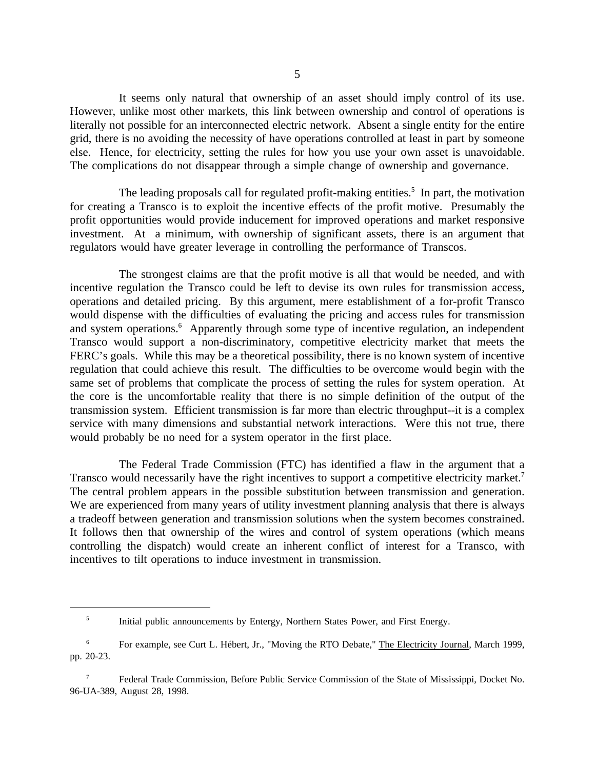It seems only natural that ownership of an asset should imply control of its use. However, unlike most other markets, this link between ownership and control of operations is literally not possible for an interconnected electric network. Absent a single entity for the entire grid, there is no avoiding the necessity of have operations controlled at least in part by someone else. Hence, for electricity, setting the rules for how you use your own asset is unavoidable. The complications do not disappear through a simple change of ownership and governance.

The leading proposals call for regulated profit-making entities.<sup>5</sup> In part, the motivation for creating a Transco is to exploit the incentive effects of the profit motive. Presumably the profit opportunities would provide inducement for improved operations and market responsive investment. At a minimum, with ownership of significant assets, there is an argument that regulators would have greater leverage in controlling the performance of Transcos.

The strongest claims are that the profit motive is all that would be needed, and with incentive regulation the Transco could be left to devise its own rules for transmission access, operations and detailed pricing. By this argument, mere establishment of a for-profit Transco would dispense with the difficulties of evaluating the pricing and access rules for transmission and system operations.<sup>6</sup> Apparently through some type of incentive regulation, an independent Transco would support a non-discriminatory, competitive electricity market that meets the FERC's goals. While this may be a theoretical possibility, there is no known system of incentive regulation that could achieve this result. The difficulties to be overcome would begin with the same set of problems that complicate the process of setting the rules for system operation. At the core is the uncomfortable reality that there is no simple definition of the output of the transmission system. Efficient transmission is far more than electric throughput--it is a complex service with many dimensions and substantial network interactions. Were this not true, there would probably be no need for a system operator in the first place.

The Federal Trade Commission (FTC) has identified a flaw in the argument that a Transco would necessarily have the right incentives to support a competitive electricity market.<sup>7</sup> The central problem appears in the possible substitution between transmission and generation. We are experienced from many years of utility investment planning analysis that there is always a tradeoff between generation and transmission solutions when the system becomes constrained. It follows then that ownership of the wires and control of system operations (which means controlling the dispatch) would create an inherent conflict of interest for a Transco, with incentives to tilt operations to induce investment in transmission.

<sup>&</sup>lt;sup>5</sup> Initial public announcements by Entergy, Northern States Power, and First Energy.

<sup>&</sup>lt;sup>6</sup> For example, see Curt L. Hébert, Jr., "Moving the RTO Debate," The Electricity Journal, March 1999, pp. 20-23.

<sup>&</sup>lt;sup>7</sup> Federal Trade Commission, Before Public Service Commission of the State of Mississippi, Docket No. 96-UA-389, August 28, 1998.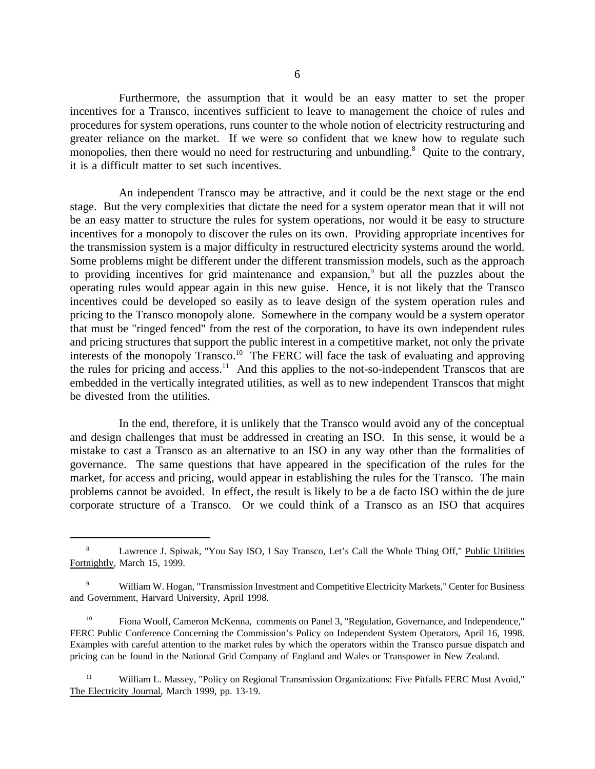Furthermore, the assumption that it would be an easy matter to set the proper incentives for a Transco, incentives sufficient to leave to management the choice of rules and procedures for system operations, runs counter to the whole notion of electricity restructuring and greater reliance on the market. If we were so confident that we knew how to regulate such monopolies, then there would no need for restructuring and unbundling.<sup>8</sup> Quite to the contrary, it is a difficult matter to set such incentives.

An independent Transco may be attractive, and it could be the next stage or the end stage. But the very complexities that dictate the need for a system operator mean that it will not be an easy matter to structure the rules for system operations, nor would it be easy to structure incentives for a monopoly to discover the rules on its own. Providing appropriate incentives for the transmission system is a major difficulty in restructured electricity systems around the world. Some problems might be different under the different transmission models, such as the approach to providing incentives for grid maintenance and expansion,<sup>9</sup> but all the puzzles about the operating rules would appear again in this new guise. Hence, it is not likely that the Transco incentives could be developed so easily as to leave design of the system operation rules and pricing to the Transco monopoly alone. Somewhere in the company would be a system operator that must be "ringed fenced" from the rest of the corporation, to have its own independent rules and pricing structures that support the public interest in a competitive market, not only the private interests of the monopoly Transco.<sup>10</sup> The FERC will face the task of evaluating and approving the rules for pricing and access.<sup>11</sup> And this applies to the not-so-independent Transcos that are embedded in the vertically integrated utilities, as well as to new independent Transcos that might be divested from the utilities.

In the end, therefore, it is unlikely that the Transco would avoid any of the conceptual and design challenges that must be addressed in creating an ISO. In this sense, it would be a mistake to cast a Transco as an alternative to an ISO in any way other than the formalities of governance. The same questions that have appeared in the specification of the rules for the market, for access and pricing, would appear in establishing the rules for the Transco. The main problems cannot be avoided. In effect, the result is likely to be a de facto ISO within the de jure corporate structure of a Transco. Or we could think of a Transco as an ISO that acquires

Lawrence J. Spiwak, "You Say ISO, I Say Transco, Let's Call the Whole Thing Off," Public Utilities Fortnightly, March 15, 1999.

<sup>9</sup> William W. Hogan, "Transmission Investment and Competitive Electricity Markets," Center for Business and Government, Harvard University, April 1998.

<sup>&</sup>lt;sup>10</sup> Fiona Woolf, Cameron McKenna, comments on Panel 3, "Regulation, Governance, and Independence," FERC Public Conference Concerning the Commission's Policy on Independent System Operators, April 16, 1998. Examples with careful attention to the market rules by which the operators within the Transco pursue dispatch and pricing can be found in the National Grid Company of England and Wales or Transpower in New Zealand.

<sup>&</sup>lt;sup>11</sup> William L. Massey, "Policy on Regional Transmission Organizations: Five Pitfalls FERC Must Avoid," The Electricity Journal, March 1999, pp. 13-19.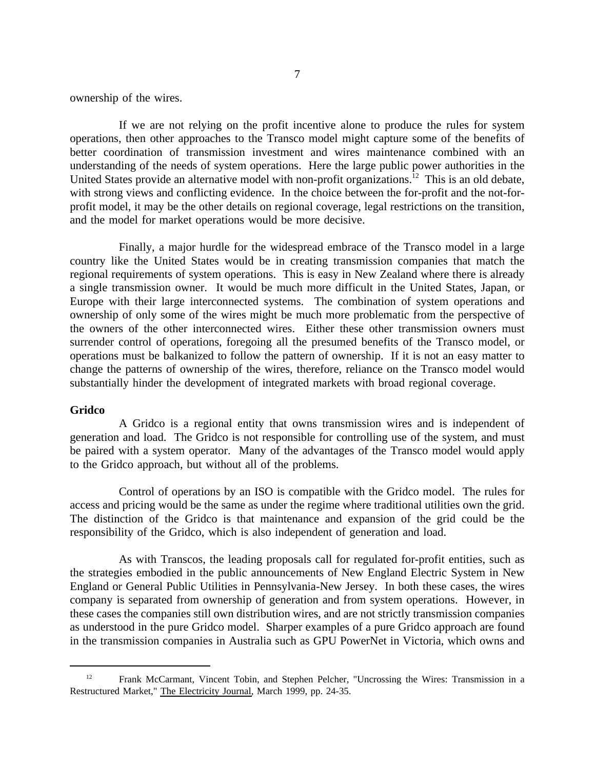ownership of the wires.

If we are not relying on the profit incentive alone to produce the rules for system operations, then other approaches to the Transco model might capture some of the benefits of better coordination of transmission investment and wires maintenance combined with an understanding of the needs of system operations. Here the large public power authorities in the United States provide an alternative model with non-profit organizations.<sup>12</sup> This is an old debate, with strong views and conflicting evidence. In the choice between the for-profit and the not-forprofit model, it may be the other details on regional coverage, legal restrictions on the transition, and the model for market operations would be more decisive.

Finally, a major hurdle for the widespread embrace of the Transco model in a large country like the United States would be in creating transmission companies that match the regional requirements of system operations. This is easy in New Zealand where there is already a single transmission owner. It would be much more difficult in the United States, Japan, or Europe with their large interconnected systems. The combination of system operations and ownership of only some of the wires might be much more problematic from the perspective of the owners of the other interconnected wires. Either these other transmission owners must surrender control of operations, foregoing all the presumed benefits of the Transco model, or operations must be balkanized to follow the pattern of ownership. If it is not an easy matter to change the patterns of ownership of the wires, therefore, reliance on the Transco model would substantially hinder the development of integrated markets with broad regional coverage.

#### **Gridco**

A Gridco is a regional entity that owns transmission wires and is independent of generation and load. The Gridco is not responsible for controlling use of the system, and must be paired with a system operator. Many of the advantages of the Transco model would apply to the Gridco approach, but without all of the problems.

Control of operations by an ISO is compatible with the Gridco model. The rules for access and pricing would be the same as under the regime where traditional utilities own the grid. The distinction of the Gridco is that maintenance and expansion of the grid could be the responsibility of the Gridco, which is also independent of generation and load.

As with Transcos, the leading proposals call for regulated for-profit entities, such as the strategies embodied in the public announcements of New England Electric System in New England or General Public Utilities in Pennsylvania-New Jersey. In both these cases, the wires company is separated from ownership of generation and from system operations. However, in these cases the companies still own distribution wires, and are not strictly transmission companies as understood in the pure Gridco model. Sharper examples of a pure Gridco approach are found in the transmission companies in Australia such as GPU PowerNet in Victoria, which owns and

<sup>&</sup>lt;sup>12</sup> Frank McCarmant, Vincent Tobin, and Stephen Pelcher, "Uncrossing the Wires: Transmission in a Restructured Market," The Electricity Journal, March 1999, pp. 24-35.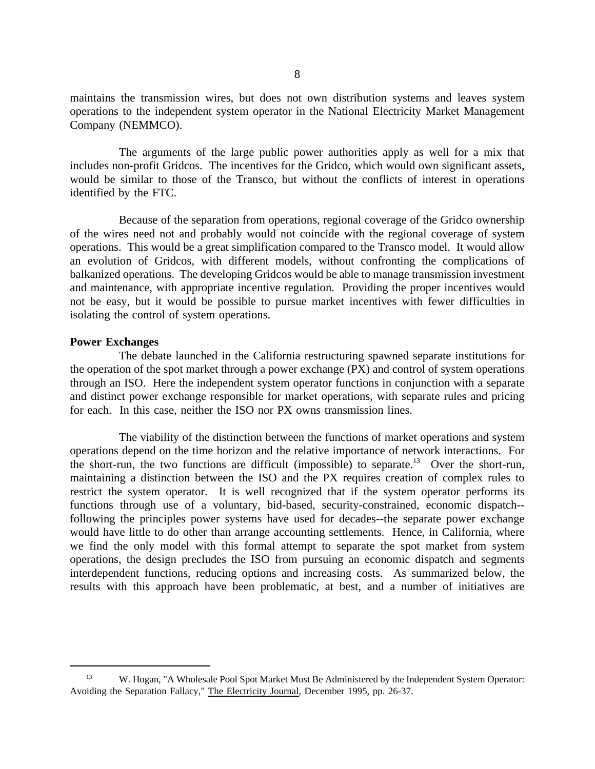maintains the transmission wires, but does not own distribution systems and leaves system operations to the independent system operator in the National Electricity Market Management Company (NEMMCO).

The arguments of the large public power authorities apply as well for a mix that includes non-profit Gridcos. The incentives for the Gridco, which would own significant assets, would be similar to those of the Transco, but without the conflicts of interest in operations identified by the FTC.

Because of the separation from operations, regional coverage of the Gridco ownership of the wires need not and probably would not coincide with the regional coverage of system operations. This would be a great simplification compared to the Transco model. It would allow an evolution of Gridcos, with different models, without confronting the complications of balkanized operations. The developing Gridcos would be able to manage transmission investment and maintenance, with appropriate incentive regulation. Providing the proper incentives would not be easy, but it would be possible to pursue market incentives with fewer difficulties in isolating the control of system operations.

# **Power Exchanges**

The debate launched in the California restructuring spawned separate institutions for the operation of the spot market through a power exchange (PX) and control of system operations through an ISO. Here the independent system operator functions in conjunction with a separate and distinct power exchange responsible for market operations, with separate rules and pricing for each. In this case, neither the ISO nor PX owns transmission lines.

The viability of the distinction between the functions of market operations and system operations depend on the time horizon and the relative importance of network interactions. For the short-run, the two functions are difficult (impossible) to separate.<sup>13</sup> Over the short-run, maintaining a distinction between the ISO and the PX requires creation of complex rules to restrict the system operator. It is well recognized that if the system operator performs its functions through use of a voluntary, bid-based, security-constrained, economic dispatch- following the principles power systems have used for decades--the separate power exchange would have little to do other than arrange accounting settlements. Hence, in California, where we find the only model with this formal attempt to separate the spot market from system operations, the design precludes the ISO from pursuing an economic dispatch and segments interdependent functions, reducing options and increasing costs. As summarized below, the results with this approach have been problematic, at best, and a number of initiatives are

<sup>&</sup>lt;sup>13</sup> W. Hogan, "A Wholesale Pool Spot Market Must Be Administered by the Independent System Operator: Avoiding the Separation Fallacy," The Electricity Journal, December 1995, pp. 26-37.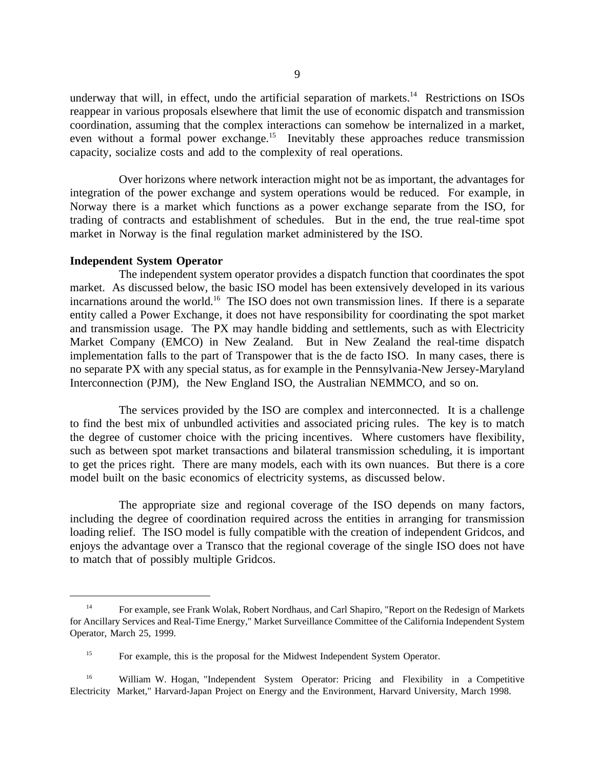underway that will, in effect, undo the artificial separation of markets.<sup>14</sup> Restrictions on ISOs reappear in various proposals elsewhere that limit the use of economic dispatch and transmission coordination, assuming that the complex interactions can somehow be internalized in a market, even without a formal power exchange.<sup>15</sup> Inevitably these approaches reduce transmission capacity, socialize costs and add to the complexity of real operations.

Over horizons where network interaction might not be as important, the advantages for integration of the power exchange and system operations would be reduced. For example, in Norway there is a market which functions as a power exchange separate from the ISO, for trading of contracts and establishment of schedules. But in the end, the true real-time spot market in Norway is the final regulation market administered by the ISO.

#### **Independent System Operator**

The independent system operator provides a dispatch function that coordinates the spot market. As discussed below, the basic ISO model has been extensively developed in its various incarnations around the world.<sup>16</sup> The ISO does not own transmission lines. If there is a separate entity called a Power Exchange, it does not have responsibility for coordinating the spot market and transmission usage. The PX may handle bidding and settlements, such as with Electricity Market Company (EMCO) in New Zealand. But in New Zealand the real-time dispatch implementation falls to the part of Transpower that is the de facto ISO. In many cases, there is no separate PX with any special status, as for example in the Pennsylvania-New Jersey-Maryland Interconnection (PJM), the New England ISO, the Australian NEMMCO, and so on.

The services provided by the ISO are complex and interconnected. It is a challenge to find the best mix of unbundled activities and associated pricing rules. The key is to match the degree of customer choice with the pricing incentives. Where customers have flexibility, such as between spot market transactions and bilateral transmission scheduling, it is important to get the prices right. There are many models, each with its own nuances. But there is a core model built on the basic economics of electricity systems, as discussed below.

The appropriate size and regional coverage of the ISO depends on many factors, including the degree of coordination required across the entities in arranging for transmission loading relief. The ISO model is fully compatible with the creation of independent Gridcos, and enjoys the advantage over a Transco that the regional coverage of the single ISO does not have to match that of possibly multiple Gridcos.

<sup>&</sup>lt;sup>14</sup> For example, see Frank Wolak, Robert Nordhaus, and Carl Shapiro, "Report on the Redesign of Markets" for Ancillary Services and Real-Time Energy," Market Surveillance Committee of the California Independent System Operator, March 25, 1999.

<sup>&</sup>lt;sup>15</sup> For example, this is the proposal for the Midwest Independent System Operator.

<sup>&</sup>lt;sup>16</sup> William W. Hogan, "Independent System Operator: Pricing and Flexibility in a Competitive Electricity Market," Harvard-Japan Project on Energy and the Environment, Harvard University, March 1998.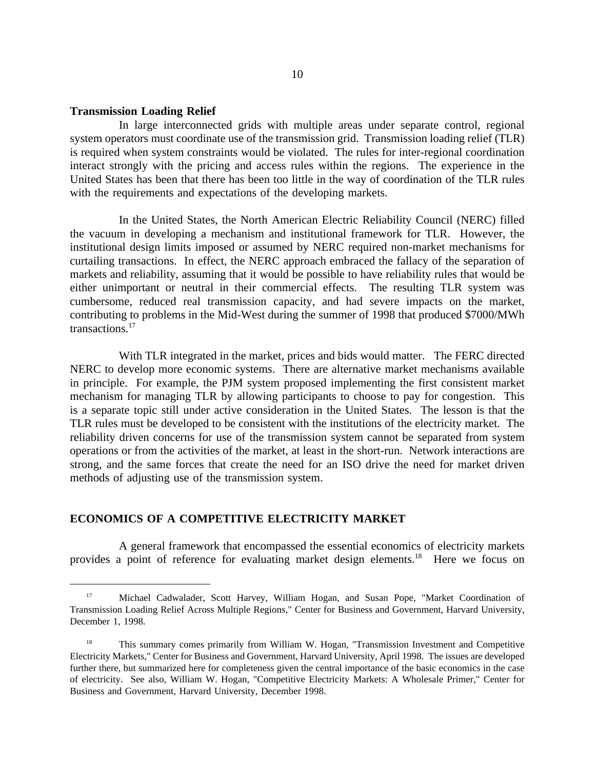### **Transmission Loading Relief**

In large interconnected grids with multiple areas under separate control, regional system operators must coordinate use of the transmission grid. Transmission loading relief (TLR) is required when system constraints would be violated. The rules for inter-regional coordination interact strongly with the pricing and access rules within the regions. The experience in the United States has been that there has been too little in the way of coordination of the TLR rules with the requirements and expectations of the developing markets.

In the United States, the North American Electric Reliability Council (NERC) filled the vacuum in developing a mechanism and institutional framework for TLR. However, the institutional design limits imposed or assumed by NERC required non-market mechanisms for curtailing transactions. In effect, the NERC approach embraced the fallacy of the separation of markets and reliability, assuming that it would be possible to have reliability rules that would be either unimportant or neutral in their commercial effects. The resulting TLR system was cumbersome, reduced real transmission capacity, and had severe impacts on the market, contributing to problems in the Mid-West during the summer of 1998 that produced \$7000/MWh transactions.17

With TLR integrated in the market, prices and bids would matter. The FERC directed NERC to develop more economic systems. There are alternative market mechanisms available in principle. For example, the PJM system proposed implementing the first consistent market mechanism for managing TLR by allowing participants to choose to pay for congestion. This is a separate topic still under active consideration in the United States. The lesson is that the TLR rules must be developed to be consistent with the institutions of the electricity market. The reliability driven concerns for use of the transmission system cannot be separated from system operations or from the activities of the market, at least in the short-run. Network interactions are strong, and the same forces that create the need for an ISO drive the need for market driven methods of adjusting use of the transmission system.

# **ECONOMICS OF A COMPETITIVE ELECTRICITY MARKET**

A general framework that encompassed the essential economics of electricity markets provides a point of reference for evaluating market design elements.<sup>18</sup> Here we focus on

<sup>17</sup> Michael Cadwalader, Scott Harvey, William Hogan, and Susan Pope, "Market Coordination of Transmission Loading Relief Across Multiple Regions," Center for Business and Government, Harvard University, December 1, 1998.

<sup>&</sup>lt;sup>18</sup> This summary comes primarily from William W. Hogan, "Transmission Investment and Competitive Electricity Markets," Center for Business and Government, Harvard University, April 1998. The issues are developed further there, but summarized here for completeness given the central importance of the basic economics in the case of electricity. See also, William W. Hogan, "Competitive Electricity Markets: A Wholesale Primer," Center for Business and Government, Harvard University, December 1998.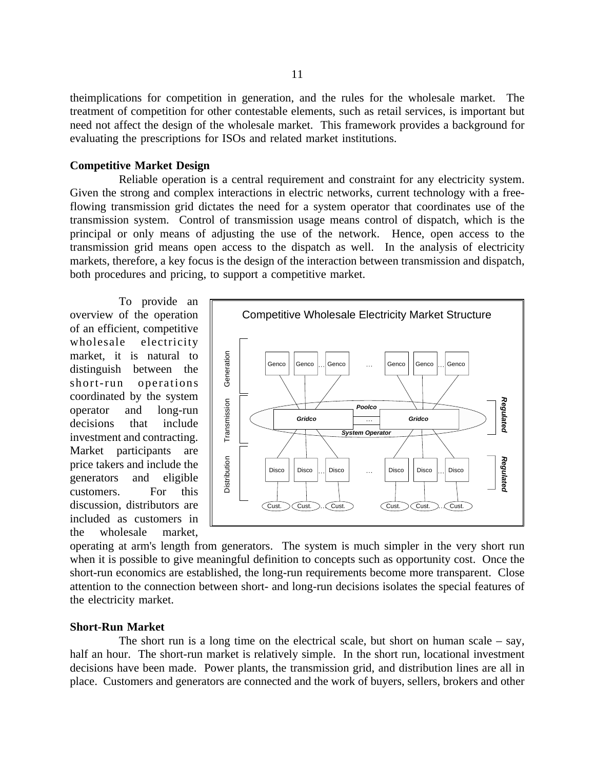theimplications for competition in generation, and the rules for the wholesale market. The treatment of competition for other contestable elements, such as retail services, is important but need not affect the design of the wholesale market. This framework provides a background for evaluating the prescriptions for ISOs and related market institutions.

# **Competitive Market Design**

Reliable operation is a central requirement and constraint for any electricity system. Given the strong and complex interactions in electric networks, current technology with a freeflowing transmission grid dictates the need for a system operator that coordinates use of the transmission system. Control of transmission usage means control of dispatch, which is the principal or only means of adjusting the use of the network. Hence, open access to the transmission grid means open access to the dispatch as well. In the analysis of electricity markets, therefore, a key focus is the design of the interaction between transmission and dispatch, both procedures and pricing, to support a competitive market.

To provide an overview of the operation of an efficient, competitive wholesale electricity market, it is natural to distinguish between the short-run operations coordinated by the system operator and long-run decisions that include investment and contracting. Market participants are price takers and include the generators and eligible customers. For this discussion, distributors are included as customers in the wholesale market,



operating at arm's length from generators. The system is much simpler in the very short run when it is possible to give meaningful definition to concepts such as opportunity cost. Once the short-run economics are established, the long-run requirements become more transparent. Close attention to the connection between short- and long-run decisions isolates the special features of the electricity market.

# **Short-Run Market**

The short run is a long time on the electrical scale, but short on human scale – say, half an hour. The short-run market is relatively simple. In the short run, locational investment decisions have been made. Power plants, the transmission grid, and distribution lines are all in place. Customers and generators are connected and the work of buyers, sellers, brokers and other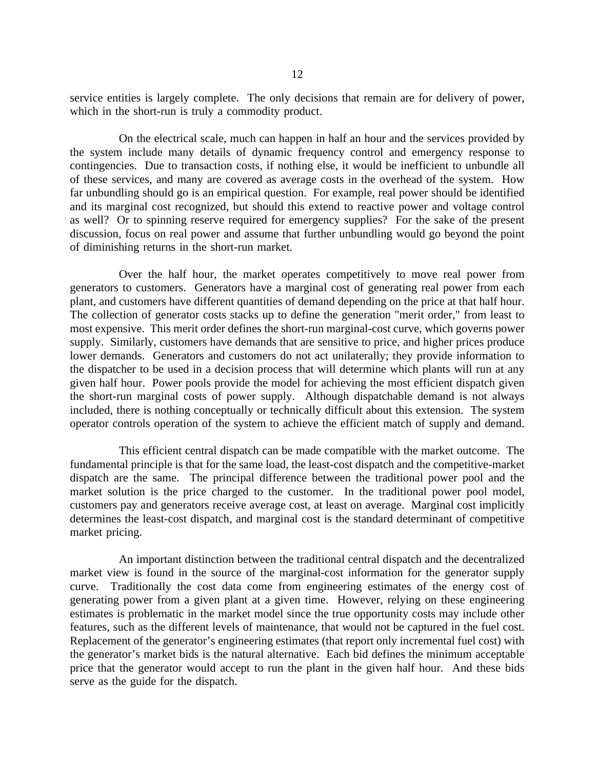service entities is largely complete. The only decisions that remain are for delivery of power, which in the short-run is truly a commodity product.

On the electrical scale, much can happen in half an hour and the services provided by the system include many details of dynamic frequency control and emergency response to contingencies. Due to transaction costs, if nothing else, it would be inefficient to unbundle all of these services, and many are covered as average costs in the overhead of the system. How far unbundling should go is an empirical question. For example, real power should be identified and its marginal cost recognized, but should this extend to reactive power and voltage control as well? Or to spinning reserve required for emergency supplies? For the sake of the present discussion, focus on real power and assume that further unbundling would go beyond the point of diminishing returns in the short-run market.

Over the half hour, the market operates competitively to move real power from generators to customers. Generators have a marginal cost of generating real power from each plant, and customers have different quantities of demand depending on the price at that half hour. The collection of generator costs stacks up to define the generation "merit order," from least to most expensive. This merit order defines the short-run marginal-cost curve, which governs power supply. Similarly, customers have demands that are sensitive to price, and higher prices produce lower demands. Generators and customers do not act unilaterally; they provide information to the dispatcher to be used in a decision process that will determine which plants will run at any given half hour. Power pools provide the model for achieving the most efficient dispatch given the short-run marginal costs of power supply. Although dispatchable demand is not always included, there is nothing conceptually or technically difficult about this extension. The system operator controls operation of the system to achieve the efficient match of supply and demand.

This efficient central dispatch can be made compatible with the market outcome. The fundamental principle is that for the same load, the least-cost dispatch and the competitive-market dispatch are the same. The principal difference between the traditional power pool and the market solution is the price charged to the customer. In the traditional power pool model, customers pay and generators receive average cost, at least on average. Marginal cost implicitly determines the least-cost dispatch, and marginal cost is the standard determinant of competitive market pricing.

An important distinction between the traditional central dispatch and the decentralized market view is found in the source of the marginal-cost information for the generator supply curve. Traditionally the cost data come from engineering estimates of the energy cost of generating power from a given plant at a given time. However, relying on these engineering estimates is problematic in the market model since the true opportunity costs may include other features, such as the different levels of maintenance, that would not be captured in the fuel cost. Replacement of the generator's engineering estimates (that report only incremental fuel cost) with the generator's market bids is the natural alternative. Each bid defines the minimum acceptable price that the generator would accept to run the plant in the given half hour. And these bids serve as the guide for the dispatch.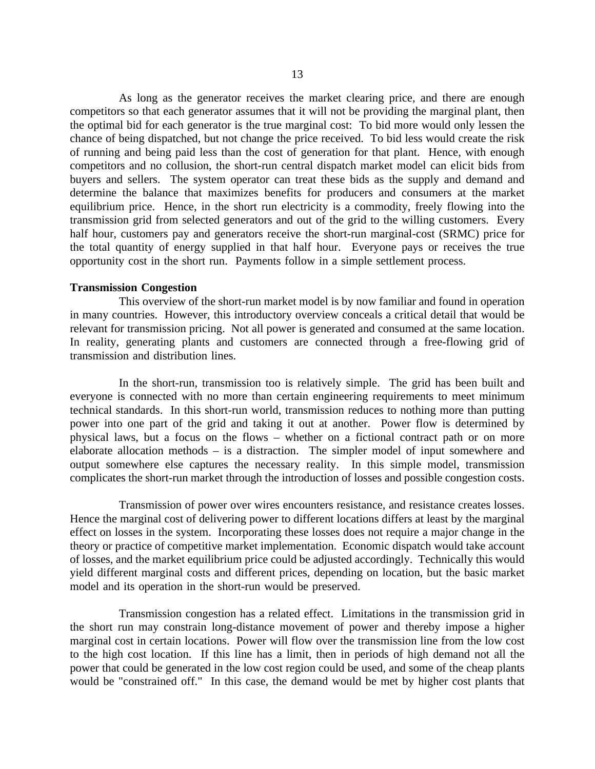As long as the generator receives the market clearing price, and there are enough competitors so that each generator assumes that it will not be providing the marginal plant, then the optimal bid for each generator is the true marginal cost: To bid more would only lessen the chance of being dispatched, but not change the price received. To bid less would create the risk of running and being paid less than the cost of generation for that plant. Hence, with enough competitors and no collusion, the short-run central dispatch market model can elicit bids from buyers and sellers. The system operator can treat these bids as the supply and demand and determine the balance that maximizes benefits for producers and consumers at the market equilibrium price. Hence, in the short run electricity is a commodity, freely flowing into the transmission grid from selected generators and out of the grid to the willing customers. Every half hour, customers pay and generators receive the short-run marginal-cost (SRMC) price for the total quantity of energy supplied in that half hour. Everyone pays or receives the true opportunity cost in the short run. Payments follow in a simple settlement process.

# **Transmission Congestion**

This overview of the short-run market model is by now familiar and found in operation in many countries. However, this introductory overview conceals a critical detail that would be relevant for transmission pricing. Not all power is generated and consumed at the same location. In reality, generating plants and customers are connected through a free-flowing grid of transmission and distribution lines.

In the short-run, transmission too is relatively simple. The grid has been built and everyone is connected with no more than certain engineering requirements to meet minimum technical standards. In this short-run world, transmission reduces to nothing more than putting power into one part of the grid and taking it out at another. Power flow is determined by physical laws, but a focus on the flows – whether on a fictional contract path or on more elaborate allocation methods – is a distraction. The simpler model of input somewhere and output somewhere else captures the necessary reality. In this simple model, transmission complicates the short-run market through the introduction of losses and possible congestion costs.

Transmission of power over wires encounters resistance, and resistance creates losses. Hence the marginal cost of delivering power to different locations differs at least by the marginal effect on losses in the system. Incorporating these losses does not require a major change in the theory or practice of competitive market implementation. Economic dispatch would take account of losses, and the market equilibrium price could be adjusted accordingly. Technically this would yield different marginal costs and different prices, depending on location, but the basic market model and its operation in the short-run would be preserved.

Transmission congestion has a related effect. Limitations in the transmission grid in the short run may constrain long-distance movement of power and thereby impose a higher marginal cost in certain locations. Power will flow over the transmission line from the low cost to the high cost location. If this line has a limit, then in periods of high demand not all the power that could be generated in the low cost region could be used, and some of the cheap plants would be "constrained off." In this case, the demand would be met by higher cost plants that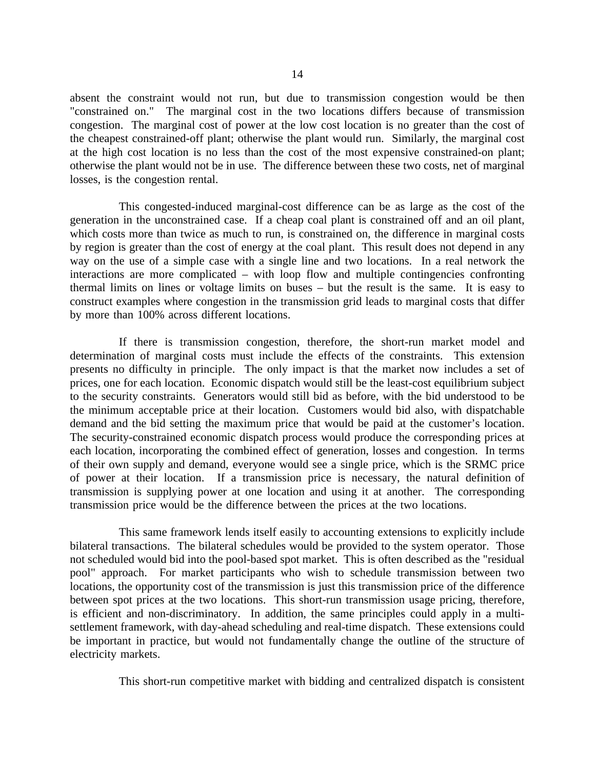absent the constraint would not run, but due to transmission congestion would be then "constrained on." The marginal cost in the two locations differs because of transmission congestion. The marginal cost of power at the low cost location is no greater than the cost of the cheapest constrained-off plant; otherwise the plant would run. Similarly, the marginal cost at the high cost location is no less than the cost of the most expensive constrained-on plant; otherwise the plant would not be in use. The difference between these two costs, net of marginal losses, is the congestion rental.

This congested-induced marginal-cost difference can be as large as the cost of the generation in the unconstrained case. If a cheap coal plant is constrained off and an oil plant, which costs more than twice as much to run, is constrained on, the difference in marginal costs by region is greater than the cost of energy at the coal plant. This result does not depend in any way on the use of a simple case with a single line and two locations. In a real network the interactions are more complicated – with loop flow and multiple contingencies confronting thermal limits on lines or voltage limits on buses – but the result is the same. It is easy to construct examples where congestion in the transmission grid leads to marginal costs that differ by more than 100% across different locations.

If there is transmission congestion, therefore, the short-run market model and determination of marginal costs must include the effects of the constraints. This extension presents no difficulty in principle. The only impact is that the market now includes a set of prices, one for each location. Economic dispatch would still be the least-cost equilibrium subject to the security constraints. Generators would still bid as before, with the bid understood to be the minimum acceptable price at their location. Customers would bid also, with dispatchable demand and the bid setting the maximum price that would be paid at the customer's location. The security-constrained economic dispatch process would produce the corresponding prices at each location, incorporating the combined effect of generation, losses and congestion. In terms of their own supply and demand, everyone would see a single price, which is the SRMC price of power at their location. If a transmission price is necessary, the natural definition of transmission is supplying power at one location and using it at another. The corresponding transmission price would be the difference between the prices at the two locations.

This same framework lends itself easily to accounting extensions to explicitly include bilateral transactions. The bilateral schedules would be provided to the system operator. Those not scheduled would bid into the pool-based spot market. This is often described as the "residual pool" approach. For market participants who wish to schedule transmission between two locations, the opportunity cost of the transmission is just this transmission price of the difference between spot prices at the two locations. This short-run transmission usage pricing, therefore, is efficient and non-discriminatory. In addition, the same principles could apply in a multisettlement framework, with day-ahead scheduling and real-time dispatch. These extensions could be important in practice, but would not fundamentally change the outline of the structure of electricity markets.

This short-run competitive market with bidding and centralized dispatch is consistent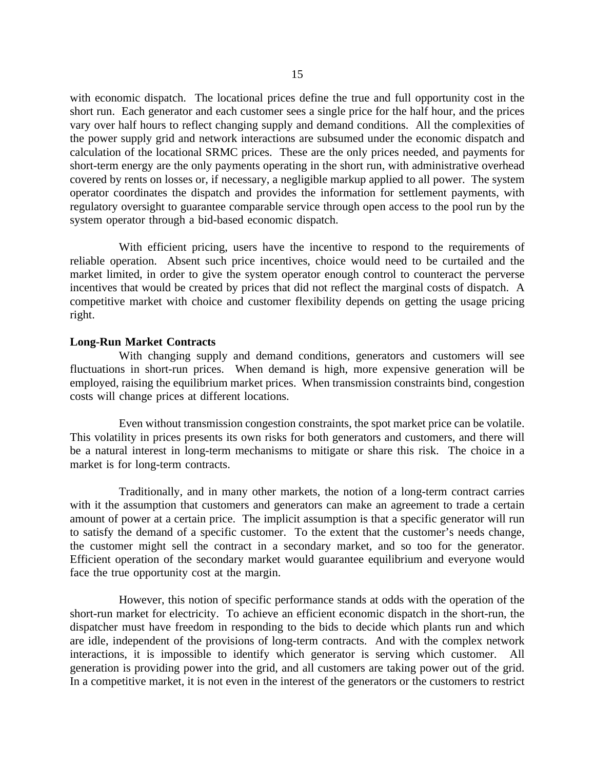with economic dispatch. The locational prices define the true and full opportunity cost in the short run. Each generator and each customer sees a single price for the half hour, and the prices vary over half hours to reflect changing supply and demand conditions. All the complexities of the power supply grid and network interactions are subsumed under the economic dispatch and calculation of the locational SRMC prices. These are the only prices needed, and payments for short-term energy are the only payments operating in the short run, with administrative overhead covered by rents on losses or, if necessary, a negligible markup applied to all power. The system operator coordinates the dispatch and provides the information for settlement payments, with regulatory oversight to guarantee comparable service through open access to the pool run by the system operator through a bid-based economic dispatch.

With efficient pricing, users have the incentive to respond to the requirements of reliable operation. Absent such price incentives, choice would need to be curtailed and the market limited, in order to give the system operator enough control to counteract the perverse incentives that would be created by prices that did not reflect the marginal costs of dispatch. A competitive market with choice and customer flexibility depends on getting the usage pricing right.

# **Long-Run Market Contracts**

With changing supply and demand conditions, generators and customers will see fluctuations in short-run prices. When demand is high, more expensive generation will be employed, raising the equilibrium market prices. When transmission constraints bind, congestion costs will change prices at different locations.

Even without transmission congestion constraints, the spot market price can be volatile. This volatility in prices presents its own risks for both generators and customers, and there will be a natural interest in long-term mechanisms to mitigate or share this risk. The choice in a market is for long-term contracts.

Traditionally, and in many other markets, the notion of a long-term contract carries with it the assumption that customers and generators can make an agreement to trade a certain amount of power at a certain price. The implicit assumption is that a specific generator will run to satisfy the demand of a specific customer. To the extent that the customer's needs change, the customer might sell the contract in a secondary market, and so too for the generator. Efficient operation of the secondary market would guarantee equilibrium and everyone would face the true opportunity cost at the margin.

However, this notion of specific performance stands at odds with the operation of the short-run market for electricity. To achieve an efficient economic dispatch in the short-run, the dispatcher must have freedom in responding to the bids to decide which plants run and which are idle, independent of the provisions of long-term contracts. And with the complex network interactions, it is impossible to identify which generator is serving which customer. All generation is providing power into the grid, and all customers are taking power out of the grid. In a competitive market, it is not even in the interest of the generators or the customers to restrict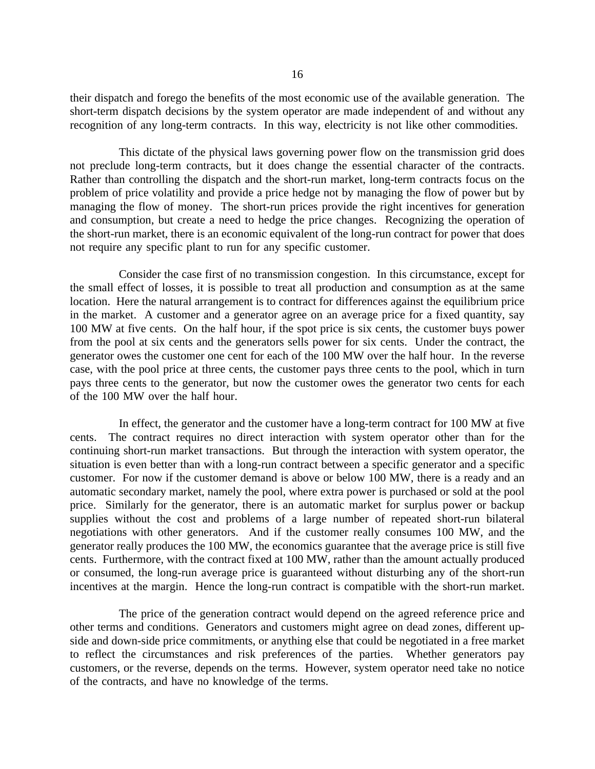their dispatch and forego the benefits of the most economic use of the available generation. The short-term dispatch decisions by the system operator are made independent of and without any recognition of any long-term contracts. In this way, electricity is not like other commodities.

This dictate of the physical laws governing power flow on the transmission grid does not preclude long-term contracts, but it does change the essential character of the contracts. Rather than controlling the dispatch and the short-run market, long-term contracts focus on the problem of price volatility and provide a price hedge not by managing the flow of power but by managing the flow of money. The short-run prices provide the right incentives for generation and consumption, but create a need to hedge the price changes. Recognizing the operation of the short-run market, there is an economic equivalent of the long-run contract for power that does not require any specific plant to run for any specific customer.

Consider the case first of no transmission congestion. In this circumstance, except for the small effect of losses, it is possible to treat all production and consumption as at the same location. Here the natural arrangement is to contract for differences against the equilibrium price in the market. A customer and a generator agree on an average price for a fixed quantity, say 100 MW at five cents. On the half hour, if the spot price is six cents, the customer buys power from the pool at six cents and the generators sells power for six cents. Under the contract, the generator owes the customer one cent for each of the 100 MW over the half hour. In the reverse case, with the pool price at three cents, the customer pays three cents to the pool, which in turn pays three cents to the generator, but now the customer owes the generator two cents for each of the 100 MW over the half hour.

In effect, the generator and the customer have a long-term contract for 100 MW at five cents. The contract requires no direct interaction with system operator other than for the continuing short-run market transactions. But through the interaction with system operator, the situation is even better than with a long-run contract between a specific generator and a specific customer. For now if the customer demand is above or below 100 MW, there is a ready and an automatic secondary market, namely the pool, where extra power is purchased or sold at the pool price. Similarly for the generator, there is an automatic market for surplus power or backup supplies without the cost and problems of a large number of repeated short-run bilateral negotiations with other generators. And if the customer really consumes 100 MW, and the generator really produces the 100 MW, the economics guarantee that the average price is still five cents. Furthermore, with the contract fixed at 100 MW, rather than the amount actually produced or consumed, the long-run average price is guaranteed without disturbing any of the short-run incentives at the margin. Hence the long-run contract is compatible with the short-run market.

The price of the generation contract would depend on the agreed reference price and other terms and conditions. Generators and customers might agree on dead zones, different upside and down-side price commitments, or anything else that could be negotiated in a free market to reflect the circumstances and risk preferences of the parties. Whether generators pay customers, or the reverse, depends on the terms. However, system operator need take no notice of the contracts, and have no knowledge of the terms.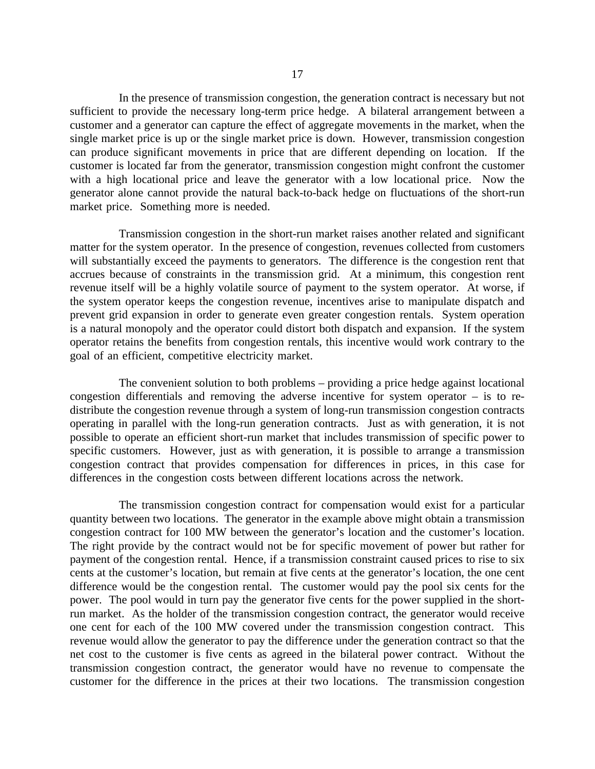In the presence of transmission congestion, the generation contract is necessary but not sufficient to provide the necessary long-term price hedge. A bilateral arrangement between a customer and a generator can capture the effect of aggregate movements in the market, when the single market price is up or the single market price is down. However, transmission congestion can produce significant movements in price that are different depending on location. If the customer is located far from the generator, transmission congestion might confront the customer with a high locational price and leave the generator with a low locational price. Now the generator alone cannot provide the natural back-to-back hedge on fluctuations of the short-run market price. Something more is needed.

Transmission congestion in the short-run market raises another related and significant matter for the system operator. In the presence of congestion, revenues collected from customers will substantially exceed the payments to generators. The difference is the congestion rent that accrues because of constraints in the transmission grid. At a minimum, this congestion rent revenue itself will be a highly volatile source of payment to the system operator. At worse, if the system operator keeps the congestion revenue, incentives arise to manipulate dispatch and prevent grid expansion in order to generate even greater congestion rentals. System operation is a natural monopoly and the operator could distort both dispatch and expansion. If the system operator retains the benefits from congestion rentals, this incentive would work contrary to the goal of an efficient, competitive electricity market.

The convenient solution to both problems – providing a price hedge against locational congestion differentials and removing the adverse incentive for system operator – is to redistribute the congestion revenue through a system of long-run transmission congestion contracts operating in parallel with the long-run generation contracts. Just as with generation, it is not possible to operate an efficient short-run market that includes transmission of specific power to specific customers. However, just as with generation, it is possible to arrange a transmission congestion contract that provides compensation for differences in prices, in this case for differences in the congestion costs between different locations across the network.

The transmission congestion contract for compensation would exist for a particular quantity between two locations. The generator in the example above might obtain a transmission congestion contract for 100 MW between the generator's location and the customer's location. The right provide by the contract would not be for specific movement of power but rather for payment of the congestion rental. Hence, if a transmission constraint caused prices to rise to six cents at the customer's location, but remain at five cents at the generator's location, the one cent difference would be the congestion rental. The customer would pay the pool six cents for the power. The pool would in turn pay the generator five cents for the power supplied in the shortrun market. As the holder of the transmission congestion contract, the generator would receive one cent for each of the 100 MW covered under the transmission congestion contract. This revenue would allow the generator to pay the difference under the generation contract so that the net cost to the customer is five cents as agreed in the bilateral power contract. Without the transmission congestion contract, the generator would have no revenue to compensate the customer for the difference in the prices at their two locations. The transmission congestion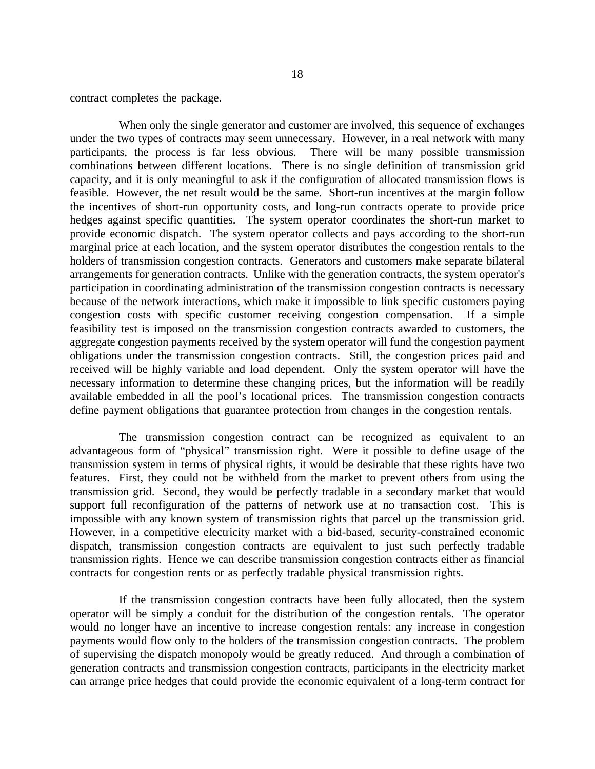contract completes the package.

When only the single generator and customer are involved, this sequence of exchanges under the two types of contracts may seem unnecessary. However, in a real network with many participants, the process is far less obvious. There will be many possible transmission combinations between different locations. There is no single definition of transmission grid capacity, and it is only meaningful to ask if the configuration of allocated transmission flows is feasible. However, the net result would be the same. Short-run incentives at the margin follow the incentives of short-run opportunity costs, and long-run contracts operate to provide price hedges against specific quantities. The system operator coordinates the short-run market to provide economic dispatch. The system operator collects and pays according to the short-run marginal price at each location, and the system operator distributes the congestion rentals to the holders of transmission congestion contracts. Generators and customers make separate bilateral arrangements for generation contracts. Unlike with the generation contracts, the system operator's participation in coordinating administration of the transmission congestion contracts is necessary because of the network interactions, which make it impossible to link specific customers paying congestion costs with specific customer receiving congestion compensation. If a simple feasibility test is imposed on the transmission congestion contracts awarded to customers, the aggregate congestion payments received by the system operator will fund the congestion payment obligations under the transmission congestion contracts. Still, the congestion prices paid and received will be highly variable and load dependent. Only the system operator will have the necessary information to determine these changing prices, but the information will be readily available embedded in all the pool's locational prices. The transmission congestion contracts define payment obligations that guarantee protection from changes in the congestion rentals.

The transmission congestion contract can be recognized as equivalent to an advantageous form of "physical" transmission right. Were it possible to define usage of the transmission system in terms of physical rights, it would be desirable that these rights have two features. First, they could not be withheld from the market to prevent others from using the transmission grid. Second, they would be perfectly tradable in a secondary market that would support full reconfiguration of the patterns of network use at no transaction cost. This is impossible with any known system of transmission rights that parcel up the transmission grid. However, in a competitive electricity market with a bid-based, security-constrained economic dispatch, transmission congestion contracts are equivalent to just such perfectly tradable transmission rights. Hence we can describe transmission congestion contracts either as financial contracts for congestion rents or as perfectly tradable physical transmission rights.

If the transmission congestion contracts have been fully allocated, then the system operator will be simply a conduit for the distribution of the congestion rentals. The operator would no longer have an incentive to increase congestion rentals: any increase in congestion payments would flow only to the holders of the transmission congestion contracts. The problem of supervising the dispatch monopoly would be greatly reduced. And through a combination of generation contracts and transmission congestion contracts, participants in the electricity market can arrange price hedges that could provide the economic equivalent of a long-term contract for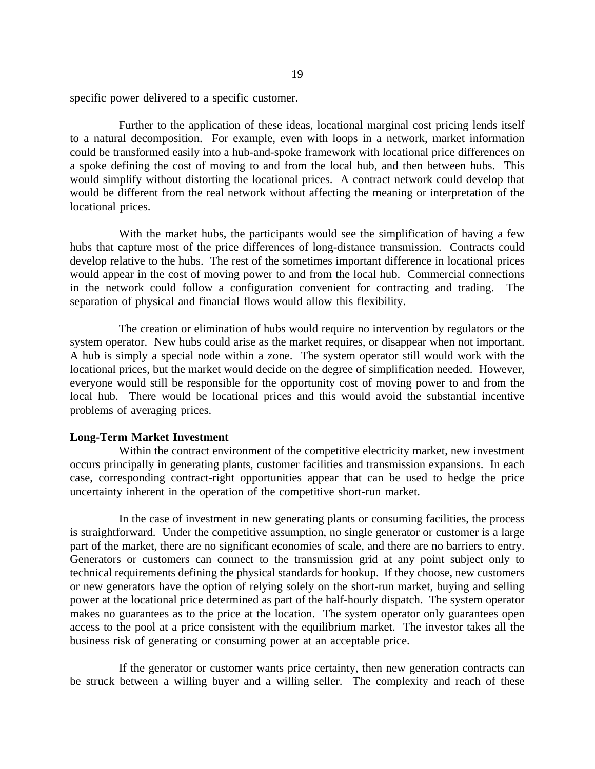specific power delivered to a specific customer.

Further to the application of these ideas, locational marginal cost pricing lends itself to a natural decomposition. For example, even with loops in a network, market information could be transformed easily into a hub-and-spoke framework with locational price differences on a spoke defining the cost of moving to and from the local hub, and then between hubs. This would simplify without distorting the locational prices. A contract network could develop that would be different from the real network without affecting the meaning or interpretation of the locational prices.

With the market hubs, the participants would see the simplification of having a few hubs that capture most of the price differences of long-distance transmission. Contracts could develop relative to the hubs. The rest of the sometimes important difference in locational prices would appear in the cost of moving power to and from the local hub. Commercial connections in the network could follow a configuration convenient for contracting and trading. The separation of physical and financial flows would allow this flexibility.

The creation or elimination of hubs would require no intervention by regulators or the system operator. New hubs could arise as the market requires, or disappear when not important. A hub is simply a special node within a zone. The system operator still would work with the locational prices, but the market would decide on the degree of simplification needed. However, everyone would still be responsible for the opportunity cost of moving power to and from the local hub. There would be locational prices and this would avoid the substantial incentive problems of averaging prices.

#### **Long-Term Market Investment**

Within the contract environment of the competitive electricity market, new investment occurs principally in generating plants, customer facilities and transmission expansions. In each case, corresponding contract-right opportunities appear that can be used to hedge the price uncertainty inherent in the operation of the competitive short-run market.

In the case of investment in new generating plants or consuming facilities, the process is straightforward. Under the competitive assumption, no single generator or customer is a large part of the market, there are no significant economies of scale, and there are no barriers to entry. Generators or customers can connect to the transmission grid at any point subject only to technical requirements defining the physical standards for hookup. If they choose, new customers or new generators have the option of relying solely on the short-run market, buying and selling power at the locational price determined as part of the half-hourly dispatch. The system operator makes no guarantees as to the price at the location. The system operator only guarantees open access to the pool at a price consistent with the equilibrium market. The investor takes all the business risk of generating or consuming power at an acceptable price.

If the generator or customer wants price certainty, then new generation contracts can be struck between a willing buyer and a willing seller. The complexity and reach of these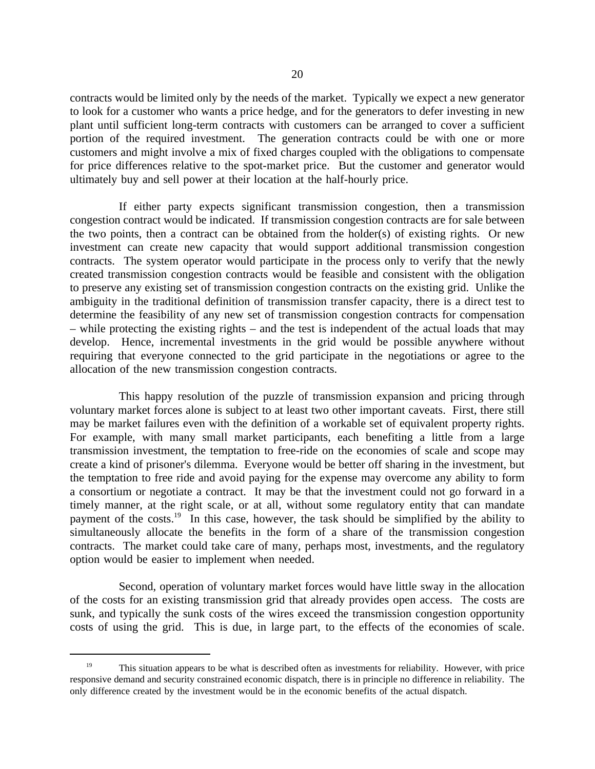contracts would be limited only by the needs of the market. Typically we expect a new generator to look for a customer who wants a price hedge, and for the generators to defer investing in new plant until sufficient long-term contracts with customers can be arranged to cover a sufficient portion of the required investment. The generation contracts could be with one or more customers and might involve a mix of fixed charges coupled with the obligations to compensate for price differences relative to the spot-market price. But the customer and generator would ultimately buy and sell power at their location at the half-hourly price.

If either party expects significant transmission congestion, then a transmission congestion contract would be indicated. If transmission congestion contracts are for sale between the two points, then a contract can be obtained from the holder(s) of existing rights. Or new investment can create new capacity that would support additional transmission congestion contracts. The system operator would participate in the process only to verify that the newly created transmission congestion contracts would be feasible and consistent with the obligation to preserve any existing set of transmission congestion contracts on the existing grid. Unlike the ambiguity in the traditional definition of transmission transfer capacity, there is a direct test to determine the feasibility of any new set of transmission congestion contracts for compensation – while protecting the existing rights – and the test is independent of the actual loads that may develop. Hence, incremental investments in the grid would be possible anywhere without requiring that everyone connected to the grid participate in the negotiations or agree to the allocation of the new transmission congestion contracts.

This happy resolution of the puzzle of transmission expansion and pricing through voluntary market forces alone is subject to at least two other important caveats. First, there still may be market failures even with the definition of a workable set of equivalent property rights. For example, with many small market participants, each benefiting a little from a large transmission investment, the temptation to free-ride on the economies of scale and scope may create a kind of prisoner's dilemma. Everyone would be better off sharing in the investment, but the temptation to free ride and avoid paying for the expense may overcome any ability to form a consortium or negotiate a contract. It may be that the investment could not go forward in a timely manner, at the right scale, or at all, without some regulatory entity that can mandate payment of the costs.<sup>19</sup> In this case, however, the task should be simplified by the ability to simultaneously allocate the benefits in the form of a share of the transmission congestion contracts. The market could take care of many, perhaps most, investments, and the regulatory option would be easier to implement when needed.

Second, operation of voluntary market forces would have little sway in the allocation of the costs for an existing transmission grid that already provides open access. The costs are sunk, and typically the sunk costs of the wires exceed the transmission congestion opportunity costs of using the grid. This is due, in large part, to the effects of the economies of scale.

<sup>&</sup>lt;sup>19</sup> This situation appears to be what is described often as investments for reliability. However, with price responsive demand and security constrained economic dispatch, there is in principle no difference in reliability. The only difference created by the investment would be in the economic benefits of the actual dispatch.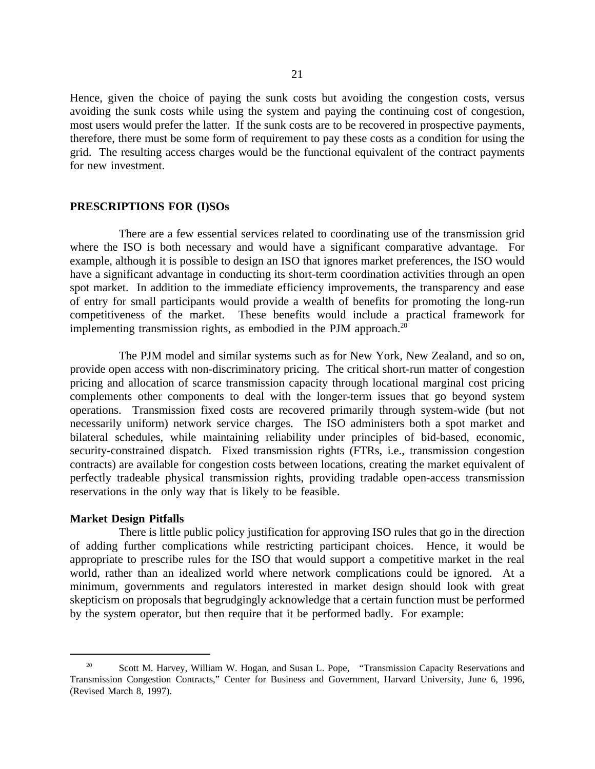Hence, given the choice of paying the sunk costs but avoiding the congestion costs, versus avoiding the sunk costs while using the system and paying the continuing cost of congestion, most users would prefer the latter. If the sunk costs are to be recovered in prospective payments, therefore, there must be some form of requirement to pay these costs as a condition for using the grid. The resulting access charges would be the functional equivalent of the contract payments for new investment.

## **PRESCRIPTIONS FOR (I)SOs**

There are a few essential services related to coordinating use of the transmission grid where the ISO is both necessary and would have a significant comparative advantage. For example, although it is possible to design an ISO that ignores market preferences, the ISO would have a significant advantage in conducting its short-term coordination activities through an open spot market. In addition to the immediate efficiency improvements, the transparency and ease of entry for small participants would provide a wealth of benefits for promoting the long-run competitiveness of the market. These benefits would include a practical framework for implementing transmission rights, as embodied in the PJM approach. $^{20}$ 

The PJM model and similar systems such as for New York, New Zealand, and so on, provide open access with non-discriminatory pricing. The critical short-run matter of congestion pricing and allocation of scarce transmission capacity through locational marginal cost pricing complements other components to deal with the longer-term issues that go beyond system operations. Transmission fixed costs are recovered primarily through system-wide (but not necessarily uniform) network service charges. The ISO administers both a spot market and bilateral schedules, while maintaining reliability under principles of bid-based, economic, security-constrained dispatch. Fixed transmission rights (FTRs, i.e., transmission congestion contracts) are available for congestion costs between locations, creating the market equivalent of perfectly tradeable physical transmission rights, providing tradable open-access transmission reservations in the only way that is likely to be feasible.

#### **Market Design Pitfalls**

There is little public policy justification for approving ISO rules that go in the direction of adding further complications while restricting participant choices. Hence, it would be appropriate to prescribe rules for the ISO that would support a competitive market in the real world, rather than an idealized world where network complications could be ignored. At a minimum, governments and regulators interested in market design should look with great skepticism on proposals that begrudgingly acknowledge that a certain function must be performed by the system operator, but then require that it be performed badly. For example:

<sup>&</sup>lt;sup>20</sup> Scott M. Harvey, William W. Hogan, and Susan L. Pope, "Transmission Capacity Reservations and Transmission Congestion Contracts," Center for Business and Government, Harvard University, June 6, 1996, (Revised March 8, 1997).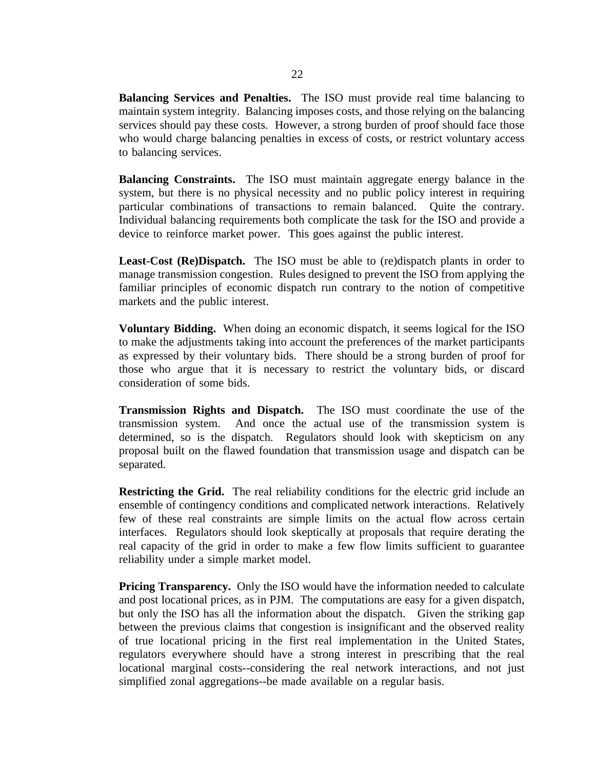**Balancing Services and Penalties.** The ISO must provide real time balancing to maintain system integrity. Balancing imposes costs, and those relying on the balancing services should pay these costs. However, a strong burden of proof should face those who would charge balancing penalties in excess of costs, or restrict voluntary access to balancing services.

**Balancing Constraints.** The ISO must maintain aggregate energy balance in the system, but there is no physical necessity and no public policy interest in requiring particular combinations of transactions to remain balanced. Quite the contrary. Individual balancing requirements both complicate the task for the ISO and provide a device to reinforce market power. This goes against the public interest.

**Least-Cost (Re)Dispatch.** The ISO must be able to (re)dispatch plants in order to manage transmission congestion. Rules designed to prevent the ISO from applying the familiar principles of economic dispatch run contrary to the notion of competitive markets and the public interest.

**Voluntary Bidding.** When doing an economic dispatch, it seems logical for the ISO to make the adjustments taking into account the preferences of the market participants as expressed by their voluntary bids. There should be a strong burden of proof for those who argue that it is necessary to restrict the voluntary bids, or discard consideration of some bids.

**Transmission Rights and Dispatch.** The ISO must coordinate the use of the transmission system. And once the actual use of the transmission system is determined, so is the dispatch. Regulators should look with skepticism on any proposal built on the flawed foundation that transmission usage and dispatch can be separated.

**Restricting the Grid.** The real reliability conditions for the electric grid include an ensemble of contingency conditions and complicated network interactions. Relatively few of these real constraints are simple limits on the actual flow across certain interfaces. Regulators should look skeptically at proposals that require derating the real capacity of the grid in order to make a few flow limits sufficient to guarantee reliability under a simple market model.

**Pricing Transparency.** Only the ISO would have the information needed to calculate and post locational prices, as in PJM. The computations are easy for a given dispatch, but only the ISO has all the information about the dispatch. Given the striking gap between the previous claims that congestion is insignificant and the observed reality of true locational pricing in the first real implementation in the United States, regulators everywhere should have a strong interest in prescribing that the real locational marginal costs--considering the real network interactions, and not just simplified zonal aggregations--be made available on a regular basis.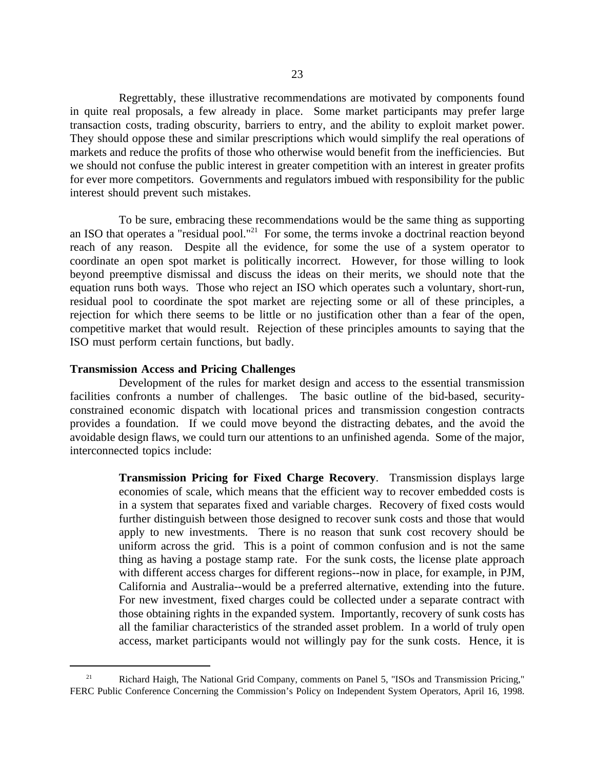Regrettably, these illustrative recommendations are motivated by components found in quite real proposals, a few already in place. Some market participants may prefer large transaction costs, trading obscurity, barriers to entry, and the ability to exploit market power. They should oppose these and similar prescriptions which would simplify the real operations of markets and reduce the profits of those who otherwise would benefit from the inefficiencies. But we should not confuse the public interest in greater competition with an interest in greater profits for ever more competitors. Governments and regulators imbued with responsibility for the public interest should prevent such mistakes.

To be sure, embracing these recommendations would be the same thing as supporting an ISO that operates a "residual pool."<sup>21</sup> For some, the terms invoke a doctrinal reaction beyond reach of any reason. Despite all the evidence, for some the use of a system operator to coordinate an open spot market is politically incorrect. However, for those willing to look beyond preemptive dismissal and discuss the ideas on their merits, we should note that the equation runs both ways. Those who reject an ISO which operates such a voluntary, short-run, residual pool to coordinate the spot market are rejecting some or all of these principles, a rejection for which there seems to be little or no justification other than a fear of the open, competitive market that would result. Rejection of these principles amounts to saying that the ISO must perform certain functions, but badly.

# **Transmission Access and Pricing Challenges**

Development of the rules for market design and access to the essential transmission facilities confronts a number of challenges. The basic outline of the bid-based, securityconstrained economic dispatch with locational prices and transmission congestion contracts provides a foundation. If we could move beyond the distracting debates, and the avoid the avoidable design flaws, we could turn our attentions to an unfinished agenda. Some of the major, interconnected topics include:

> **Transmission Pricing for Fixed Charge Recovery**. Transmission displays large economies of scale, which means that the efficient way to recover embedded costs is in a system that separates fixed and variable charges. Recovery of fixed costs would further distinguish between those designed to recover sunk costs and those that would apply to new investments. There is no reason that sunk cost recovery should be uniform across the grid. This is a point of common confusion and is not the same thing as having a postage stamp rate. For the sunk costs, the license plate approach with different access charges for different regions--now in place, for example, in PJM, California and Australia--would be a preferred alternative, extending into the future. For new investment, fixed charges could be collected under a separate contract with those obtaining rights in the expanded system. Importantly, recovery of sunk costs has all the familiar characteristics of the stranded asset problem. In a world of truly open access, market participants would not willingly pay for the sunk costs. Hence, it is

<sup>&</sup>lt;sup>21</sup> Richard Haigh, The National Grid Company, comments on Panel 5, "ISOs and Transmission Pricing," FERC Public Conference Concerning the Commission's Policy on Independent System Operators, April 16, 1998.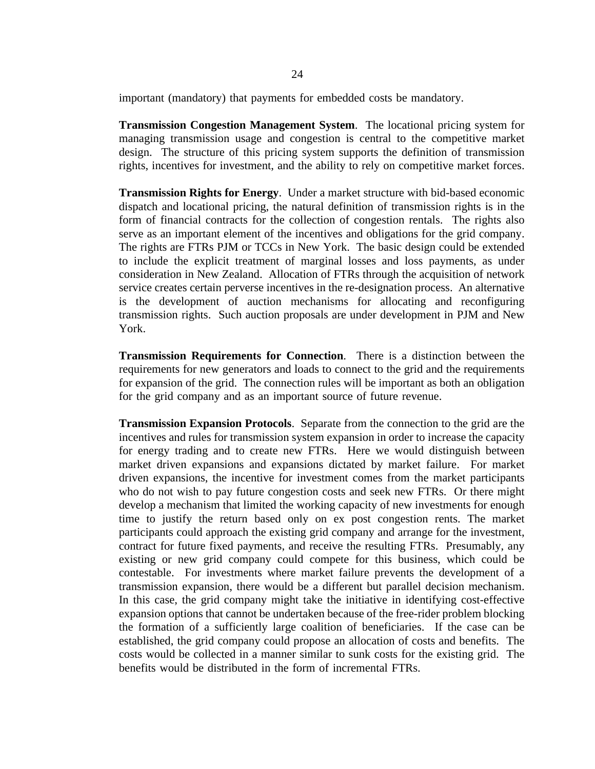important (mandatory) that payments for embedded costs be mandatory.

**Transmission Congestion Management System**. The locational pricing system for managing transmission usage and congestion is central to the competitive market design. The structure of this pricing system supports the definition of transmission rights, incentives for investment, and the ability to rely on competitive market forces.

**Transmission Rights for Energy**. Under a market structure with bid-based economic dispatch and locational pricing, the natural definition of transmission rights is in the form of financial contracts for the collection of congestion rentals. The rights also serve as an important element of the incentives and obligations for the grid company. The rights are FTRs PJM or TCCs in New York. The basic design could be extended to include the explicit treatment of marginal losses and loss payments, as under consideration in New Zealand. Allocation of FTRs through the acquisition of network service creates certain perverse incentives in the re-designation process. An alternative is the development of auction mechanisms for allocating and reconfiguring transmission rights. Such auction proposals are under development in PJM and New York.

**Transmission Requirements for Connection**. There is a distinction between the requirements for new generators and loads to connect to the grid and the requirements for expansion of the grid. The connection rules will be important as both an obligation for the grid company and as an important source of future revenue.

**Transmission Expansion Protocols**. Separate from the connection to the grid are the incentives and rules for transmission system expansion in order to increase the capacity for energy trading and to create new FTRs. Here we would distinguish between market driven expansions and expansions dictated by market failure. For market driven expansions, the incentive for investment comes from the market participants who do not wish to pay future congestion costs and seek new FTRs. Or there might develop a mechanism that limited the working capacity of new investments for enough time to justify the return based only on ex post congestion rents. The market participants could approach the existing grid company and arrange for the investment, contract for future fixed payments, and receive the resulting FTRs. Presumably, any existing or new grid company could compete for this business, which could be contestable. For investments where market failure prevents the development of a transmission expansion, there would be a different but parallel decision mechanism. In this case, the grid company might take the initiative in identifying cost-effective expansion options that cannot be undertaken because of the free-rider problem blocking the formation of a sufficiently large coalition of beneficiaries. If the case can be established, the grid company could propose an allocation of costs and benefits. The costs would be collected in a manner similar to sunk costs for the existing grid. The benefits would be distributed in the form of incremental FTRs.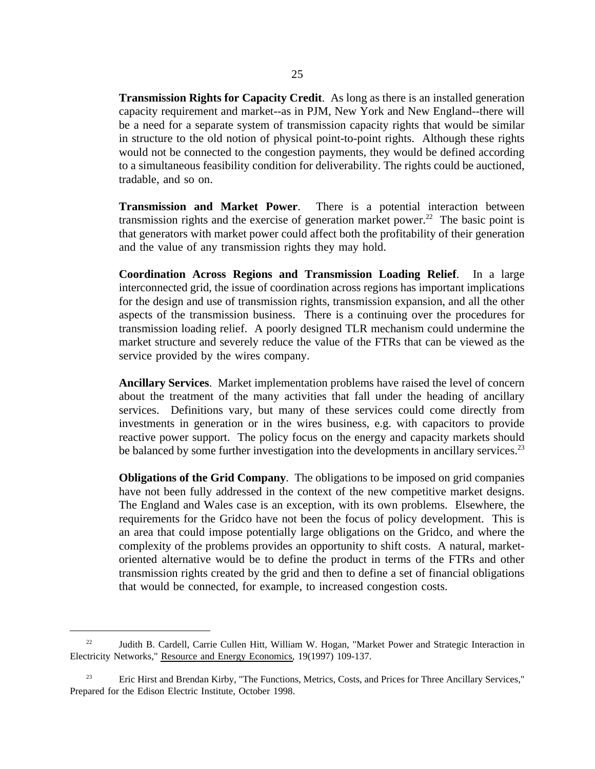**Transmission Rights for Capacity Credit**. As long as there is an installed generation capacity requirement and market--as in PJM, New York and New England--there will be a need for a separate system of transmission capacity rights that would be similar in structure to the old notion of physical point-to-point rights. Although these rights

would not be connected to the congestion payments, they would be defined according to a simultaneous feasibility condition for deliverability. The rights could be auctioned, tradable, and so on.

**Transmission and Market Power**. There is a potential interaction between transmission rights and the exercise of generation market power.<sup>22</sup> The basic point is that generators with market power could affect both the profitability of their generation and the value of any transmission rights they may hold.

**Coordination Across Regions and Transmission Loading Relief**. In a large interconnected grid, the issue of coordination across regions has important implications for the design and use of transmission rights, transmission expansion, and all the other aspects of the transmission business. There is a continuing over the procedures for transmission loading relief. A poorly designed TLR mechanism could undermine the market structure and severely reduce the value of the FTRs that can be viewed as the service provided by the wires company.

**Ancillary Services**. Market implementation problems have raised the level of concern about the treatment of the many activities that fall under the heading of ancillary services. Definitions vary, but many of these services could come directly from investments in generation or in the wires business, e.g. with capacitors to provide reactive power support. The policy focus on the energy and capacity markets should be balanced by some further investigation into the developments in ancillary services.<sup>23</sup>

**Obligations of the Grid Company**. The obligations to be imposed on grid companies have not been fully addressed in the context of the new competitive market designs. The England and Wales case is an exception, with its own problems. Elsewhere, the requirements for the Gridco have not been the focus of policy development. This is an area that could impose potentially large obligations on the Gridco, and where the complexity of the problems provides an opportunity to shift costs. A natural, marketoriented alternative would be to define the product in terms of the FTRs and other transmission rights created by the grid and then to define a set of financial obligations that would be connected, for example, to increased congestion costs.

<sup>&</sup>lt;sup>22</sup> Judith B. Cardell, Carrie Cullen Hitt, William W. Hogan, "Market Power and Strategic Interaction in Electricity Networks," Resource and Energy Economics, 19(1997) 109-137.

<sup>&</sup>lt;sup>23</sup> Eric Hirst and Brendan Kirby, "The Functions, Metrics, Costs, and Prices for Three Ancillary Services," Prepared for the Edison Electric Institute, October 1998.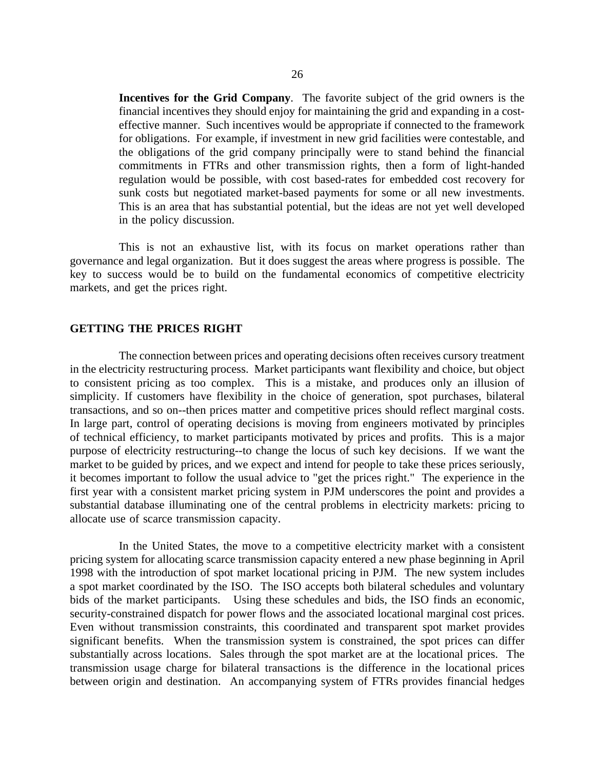**Incentives for the Grid Company**. The favorite subject of the grid owners is the financial incentives they should enjoy for maintaining the grid and expanding in a costeffective manner. Such incentives would be appropriate if connected to the framework for obligations. For example, if investment in new grid facilities were contestable, and the obligations of the grid company principally were to stand behind the financial commitments in FTRs and other transmission rights, then a form of light-handed regulation would be possible, with cost based-rates for embedded cost recovery for sunk costs but negotiated market-based payments for some or all new investments. This is an area that has substantial potential, but the ideas are not yet well developed in the policy discussion.

This is not an exhaustive list, with its focus on market operations rather than governance and legal organization. But it does suggest the areas where progress is possible. The key to success would be to build on the fundamental economics of competitive electricity markets, and get the prices right.

# **GETTING THE PRICES RIGHT**

The connection between prices and operating decisions often receives cursory treatment in the electricity restructuring process. Market participants want flexibility and choice, but object to consistent pricing as too complex. This is a mistake, and produces only an illusion of simplicity. If customers have flexibility in the choice of generation, spot purchases, bilateral transactions, and so on--then prices matter and competitive prices should reflect marginal costs. In large part, control of operating decisions is moving from engineers motivated by principles of technical efficiency, to market participants motivated by prices and profits. This is a major purpose of electricity restructuring--to change the locus of such key decisions. If we want the market to be guided by prices, and we expect and intend for people to take these prices seriously, it becomes important to follow the usual advice to "get the prices right." The experience in the first year with a consistent market pricing system in PJM underscores the point and provides a substantial database illuminating one of the central problems in electricity markets: pricing to allocate use of scarce transmission capacity.

In the United States, the move to a competitive electricity market with a consistent pricing system for allocating scarce transmission capacity entered a new phase beginning in April 1998 with the introduction of spot market locational pricing in PJM. The new system includes a spot market coordinated by the ISO. The ISO accepts both bilateral schedules and voluntary bids of the market participants. Using these schedules and bids, the ISO finds an economic, security-constrained dispatch for power flows and the associated locational marginal cost prices. Even without transmission constraints, this coordinated and transparent spot market provides significant benefits. When the transmission system is constrained, the spot prices can differ substantially across locations. Sales through the spot market are at the locational prices. The transmission usage charge for bilateral transactions is the difference in the locational prices between origin and destination. An accompanying system of FTRs provides financial hedges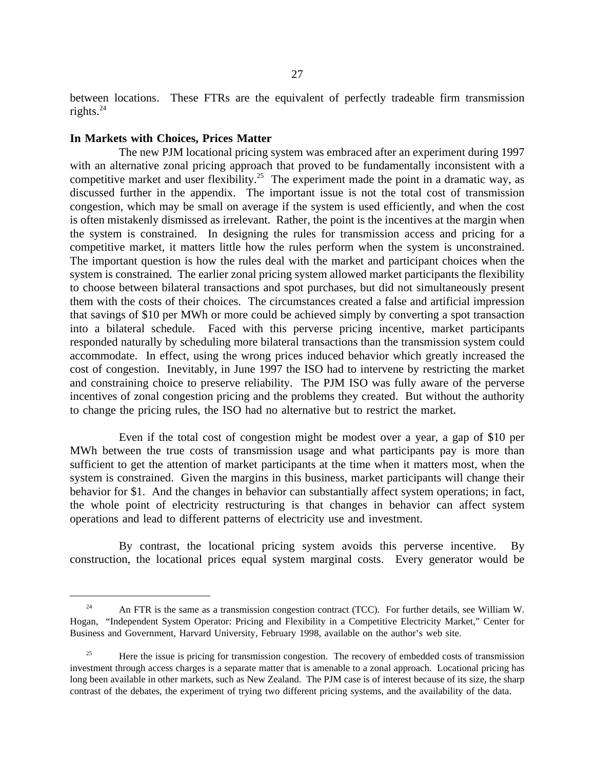between locations. These FTRs are the equivalent of perfectly tradeable firm transmission rights. $^{24}$ 

#### **In Markets with Choices, Prices Matter**

The new PJM locational pricing system was embraced after an experiment during 1997 with an alternative zonal pricing approach that proved to be fundamentally inconsistent with a competitive market and user flexibility.<sup>25</sup> The experiment made the point in a dramatic way, as discussed further in the appendix. The important issue is not the total cost of transmission congestion, which may be small on average if the system is used efficiently, and when the cost is often mistakenly dismissed as irrelevant. Rather, the point is the incentives at the margin when the system is constrained. In designing the rules for transmission access and pricing for a competitive market, it matters little how the rules perform when the system is unconstrained. The important question is how the rules deal with the market and participant choices when the system is constrained. The earlier zonal pricing system allowed market participants the flexibility to choose between bilateral transactions and spot purchases, but did not simultaneously present them with the costs of their choices. The circumstances created a false and artificial impression that savings of \$10 per MWh or more could be achieved simply by converting a spot transaction into a bilateral schedule. Faced with this perverse pricing incentive, market participants responded naturally by scheduling more bilateral transactions than the transmission system could accommodate. In effect, using the wrong prices induced behavior which greatly increased the cost of congestion. Inevitably, in June 1997 the ISO had to intervene by restricting the market and constraining choice to preserve reliability. The PJM ISO was fully aware of the perverse incentives of zonal congestion pricing and the problems they created. But without the authority to change the pricing rules, the ISO had no alternative but to restrict the market.

Even if the total cost of congestion might be modest over a year, a gap of \$10 per MWh between the true costs of transmission usage and what participants pay is more than sufficient to get the attention of market participants at the time when it matters most, when the system is constrained. Given the margins in this business, market participants will change their behavior for \$1. And the changes in behavior can substantially affect system operations; in fact, the whole point of electricity restructuring is that changes in behavior can affect system operations and lead to different patterns of electricity use and investment.

By contrast, the locational pricing system avoids this perverse incentive. By construction, the locational prices equal system marginal costs. Every generator would be

<sup>&</sup>lt;sup>24</sup> An FTR is the same as a transmission congestion contract (TCC). For further details, see William W. Hogan, "Independent System Operator: Pricing and Flexibility in a Competitive Electricity Market," Center for Business and Government, Harvard University, February 1998, available on the author's web site.

<sup>&</sup>lt;sup>25</sup> Here the issue is pricing for transmission congestion. The recovery of embedded costs of transmission investment through access charges is a separate matter that is amenable to a zonal approach. Locational pricing has long been available in other markets, such as New Zealand. The PJM case is of interest because of its size, the sharp contrast of the debates, the experiment of trying two different pricing systems, and the availability of the data.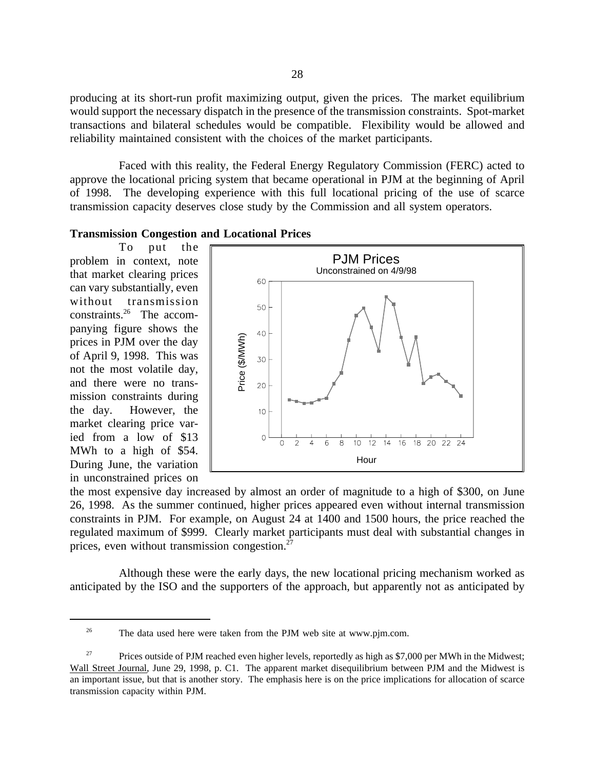producing at its short-run profit maximizing output, given the prices. The market equilibrium would support the necessary dispatch in the presence of the transmission constraints. Spot-market transactions and bilateral schedules would be compatible. Flexibility would be allowed and reliability maintained consistent with the choices of the market participants.

Faced with this reality, the Federal Energy Regulatory Commission (FERC) acted to approve the locational pricing system that became operational in PJM at the beginning of April of 1998. The developing experience with this full locational pricing of the use of scarce transmission capacity deserves close study by the Commission and all system operators.

#### **Transmission Congestion and Locational Prices**

To put the problem in context, note that market clearing prices can vary substantially, even without transmission constraints.26 The accompanying figure shows the prices in PJM over the day of April 9, 1998. This was not the most volatile day, and there were no transmission constraints during the day. However, the market clearing price varied from a low of \$13 MWh to a high of \$54. During June, the variation in unconstrained prices on



the most expensive day increased by almost an order of magnitude to a high of \$300, on June 26, 1998. As the summer continued, higher prices appeared even without internal transmission constraints in PJM. For example, on August 24 at 1400 and 1500 hours, the price reached the regulated maximum of \$999. Clearly market participants must deal with substantial changes in prices, even without transmission congestion.27

Although these were the early days, the new locational pricing mechanism worked as anticipated by the ISO and the supporters of the approach, but apparently not as anticipated by

<sup>&</sup>lt;sup>26</sup> The data used here were taken from the PJM web site at www.pjm.com.

<sup>&</sup>lt;sup>27</sup> Prices outside of PJM reached even higher levels, reportedly as high as \$7,000 per MWh in the Midwest; Wall Street Journal, June 29, 1998, p. C1. The apparent market disequilibrium between PJM and the Midwest is an important issue, but that is another story. The emphasis here is on the price implications for allocation of scarce transmission capacity within PJM.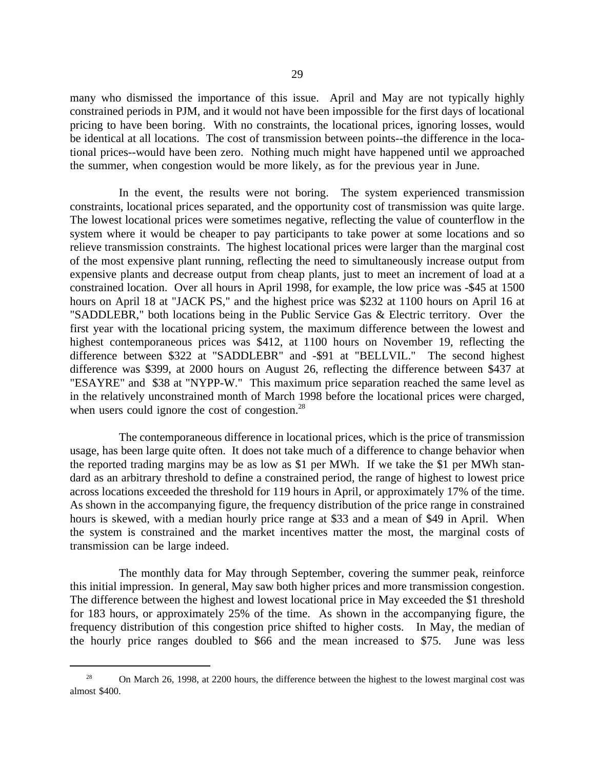many who dismissed the importance of this issue. April and May are not typically highly constrained periods in PJM, and it would not have been impossible for the first days of locational pricing to have been boring. With no constraints, the locational prices, ignoring losses, would be identical at all locations. The cost of transmission between points--the difference in the locational prices--would have been zero. Nothing much might have happened until we approached the summer, when congestion would be more likely, as for the previous year in June.

In the event, the results were not boring. The system experienced transmission constraints, locational prices separated, and the opportunity cost of transmission was quite large. The lowest locational prices were sometimes negative, reflecting the value of counterflow in the system where it would be cheaper to pay participants to take power at some locations and so relieve transmission constraints. The highest locational prices were larger than the marginal cost of the most expensive plant running, reflecting the need to simultaneously increase output from expensive plants and decrease output from cheap plants, just to meet an increment of load at a constrained location. Over all hours in April 1998, for example, the low price was -\$45 at 1500 hours on April 18 at "JACK PS," and the highest price was \$232 at 1100 hours on April 16 at "SADDLEBR," both locations being in the Public Service Gas & Electric territory. Over the first year with the locational pricing system, the maximum difference between the lowest and highest contemporaneous prices was \$412, at 1100 hours on November 19, reflecting the difference between \$322 at "SADDLEBR" and -\$91 at "BELLVIL." The second highest difference was \$399, at 2000 hours on August 26, reflecting the difference between \$437 at "ESAYRE" and \$38 at "NYPP-W." This maximum price separation reached the same level as in the relatively unconstrained month of March 1998 before the locational prices were charged, when users could ignore the cost of congestion.<sup>28</sup>

The contemporaneous difference in locational prices, which is the price of transmission usage, has been large quite often. It does not take much of a difference to change behavior when the reported trading margins may be as low as \$1 per MWh. If we take the \$1 per MWh standard as an arbitrary threshold to define a constrained period, the range of highest to lowest price across locations exceeded the threshold for 119 hours in April, or approximately 17% of the time. As shown in the accompanying figure, the frequency distribution of the price range in constrained hours is skewed, with a median hourly price range at \$33 and a mean of \$49 in April. When the system is constrained and the market incentives matter the most, the marginal costs of transmission can be large indeed.

The monthly data for May through September, covering the summer peak, reinforce this initial impression. In general, May saw both higher prices and more transmission congestion. The difference between the highest and lowest locational price in May exceeded the \$1 threshold for 183 hours, or approximately 25% of the time. As shown in the accompanying figure, the frequency distribution of this congestion price shifted to higher costs. In May, the median of the hourly price ranges doubled to \$66 and the mean increased to \$75. June was less

<sup>&</sup>lt;sup>28</sup> On March 26, 1998, at 2200 hours, the difference between the highest to the lowest marginal cost was almost \$400.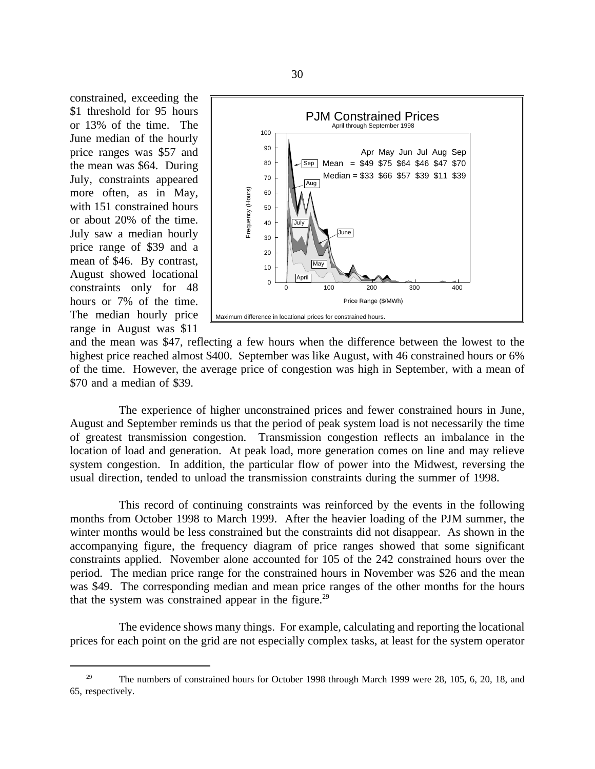constrained, exceeding the \$1 threshold for 95 hours or 13% of the time. The June median of the hourly price ranges was \$57 and the mean was \$64. During July, constraints appeared more often, as in May, with 151 constrained hours or about 20% of the time. July saw a median hourly price range of \$39 and a mean of \$46. By contrast, August showed locational constraints only for 48 hours or 7% of the time. The median hourly price range in August was \$11



and the mean was \$47, reflecting a few hours when the difference between the lowest to the highest price reached almost \$400. September was like August, with 46 constrained hours or 6% of the time. However, the average price of congestion was high in September, with a mean of \$70 and a median of \$39.

The experience of higher unconstrained prices and fewer constrained hours in June, August and September reminds us that the period of peak system load is not necessarily the time of greatest transmission congestion. Transmission congestion reflects an imbalance in the location of load and generation. At peak load, more generation comes on line and may relieve system congestion. In addition, the particular flow of power into the Midwest, reversing the usual direction, tended to unload the transmission constraints during the summer of 1998.

This record of continuing constraints was reinforced by the events in the following months from October 1998 to March 1999. After the heavier loading of the PJM summer, the winter months would be less constrained but the constraints did not disappear. As shown in the accompanying figure, the frequency diagram of price ranges showed that some significant constraints applied. November alone accounted for 105 of the 242 constrained hours over the period. The median price range for the constrained hours in November was \$26 and the mean was \$49. The corresponding median and mean price ranges of the other months for the hours that the system was constrained appear in the figure.<sup>29</sup>

The evidence shows many things. For example, calculating and reporting the locational prices for each point on the grid are not especially complex tasks, at least for the system operator

<sup>&</sup>lt;sup>29</sup> The numbers of constrained hours for October 1998 through March 1999 were 28, 105, 6, 20, 18, and 65, respectively.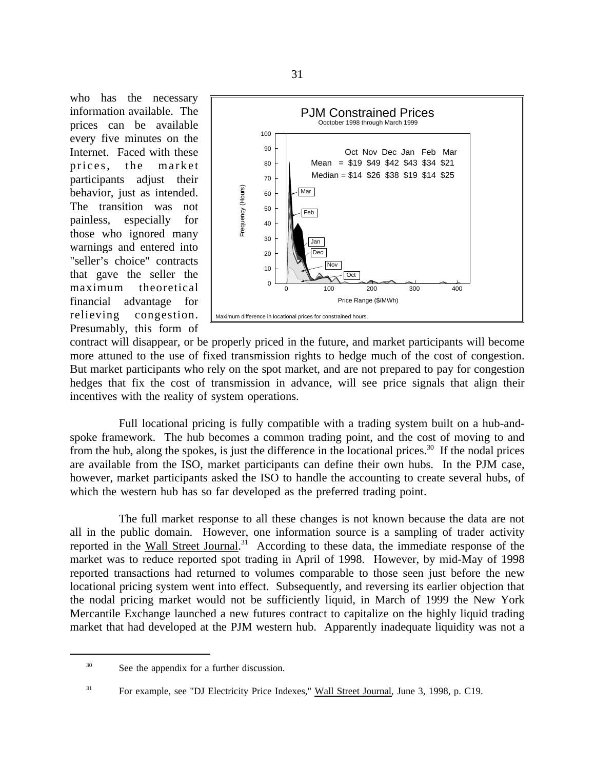who has the necessary information available. The prices can be available every five minutes on the Internet. Faced with these prices, the market participants adjust their behavior, just as intended. The transition was not painless, especially for those who ignored many warnings and entered into "seller's choice" contracts that gave the seller the maximum theoretical financial advantage for relieving congestion. Presumably, this form of



contract will disappear, or be properly priced in the future, and market participants will become more attuned to the use of fixed transmission rights to hedge much of the cost of congestion. But market participants who rely on the spot market, and are not prepared to pay for congestion hedges that fix the cost of transmission in advance, will see price signals that align their incentives with the reality of system operations.

Full locational pricing is fully compatible with a trading system built on a hub-andspoke framework. The hub becomes a common trading point, and the cost of moving to and from the hub, along the spokes, is just the difference in the locational prices.<sup>30</sup> If the nodal prices are available from the ISO, market participants can define their own hubs. In the PJM case, however, market participants asked the ISO to handle the accounting to create several hubs, of which the western hub has so far developed as the preferred trading point.

The full market response to all these changes is not known because the data are not all in the public domain. However, one information source is a sampling of trader activity reported in the Wall Street Journal.<sup>31</sup> According to these data, the immediate response of the market was to reduce reported spot trading in April of 1998. However, by mid-May of 1998 reported transactions had returned to volumes comparable to those seen just before the new locational pricing system went into effect. Subsequently, and reversing its earlier objection that the nodal pricing market would not be sufficiently liquid, in March of 1999 the New York Mercantile Exchange launched a new futures contract to capitalize on the highly liquid trading market that had developed at the PJM western hub. Apparently inadequate liquidity was not a

<sup>&</sup>lt;sup>30</sup> See the appendix for a further discussion.

<sup>&</sup>lt;sup>31</sup> For example, see "DJ Electricity Price Indexes," Wall Street Journal, June 3, 1998, p. C19.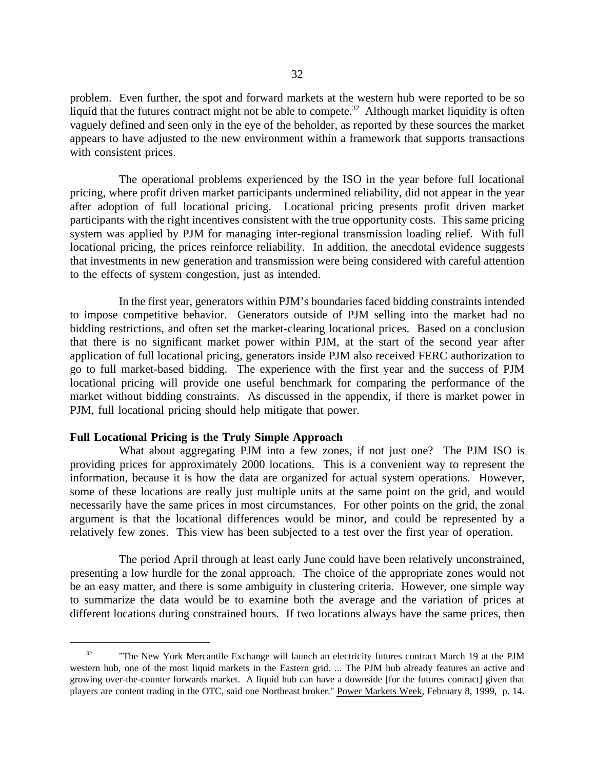problem. Even further, the spot and forward markets at the western hub were reported to be so liquid that the futures contract might not be able to compete.<sup>32</sup> Although market liquidity is often vaguely defined and seen only in the eye of the beholder, as reported by these sources the market appears to have adjusted to the new environment within a framework that supports transactions with consistent prices.

The operational problems experienced by the ISO in the year before full locational pricing, where profit driven market participants undermined reliability, did not appear in the year after adoption of full locational pricing. Locational pricing presents profit driven market participants with the right incentives consistent with the true opportunity costs. This same pricing system was applied by PJM for managing inter-regional transmission loading relief. With full locational pricing, the prices reinforce reliability. In addition, the anecdotal evidence suggests that investments in new generation and transmission were being considered with careful attention to the effects of system congestion, just as intended.

In the first year, generators within PJM's boundaries faced bidding constraints intended to impose competitive behavior. Generators outside of PJM selling into the market had no bidding restrictions, and often set the market-clearing locational prices. Based on a conclusion that there is no significant market power within PJM, at the start of the second year after application of full locational pricing, generators inside PJM also received FERC authorization to go to full market-based bidding. The experience with the first year and the success of PJM locational pricing will provide one useful benchmark for comparing the performance of the market without bidding constraints. As discussed in the appendix, if there is market power in PJM, full locational pricing should help mitigate that power.

# **Full Locational Pricing is the Truly Simple Approach**

What about aggregating PJM into a few zones, if not just one? The PJM ISO is providing prices for approximately 2000 locations. This is a convenient way to represent the information, because it is how the data are organized for actual system operations. However, some of these locations are really just multiple units at the same point on the grid, and would necessarily have the same prices in most circumstances. For other points on the grid, the zonal argument is that the locational differences would be minor, and could be represented by a relatively few zones. This view has been subjected to a test over the first year of operation.

The period April through at least early June could have been relatively unconstrained, presenting a low hurdle for the zonal approach. The choice of the appropriate zones would not be an easy matter, and there is some ambiguity in clustering criteria. However, one simple way to summarize the data would be to examine both the average and the variation of prices at different locations during constrained hours. If two locations always have the same prices, then

<sup>&</sup>lt;sup>32</sup> "The New York Mercantile Exchange will launch an electricity futures contract March 19 at the PJM western hub, one of the most liquid markets in the Eastern grid. ... The PJM hub already features an active and growing over-the-counter forwards market. A liquid hub can have a downside [for the futures contract] given that players are content trading in the OTC, said one Northeast broker." Power Markets Week, February 8, 1999, p. 14.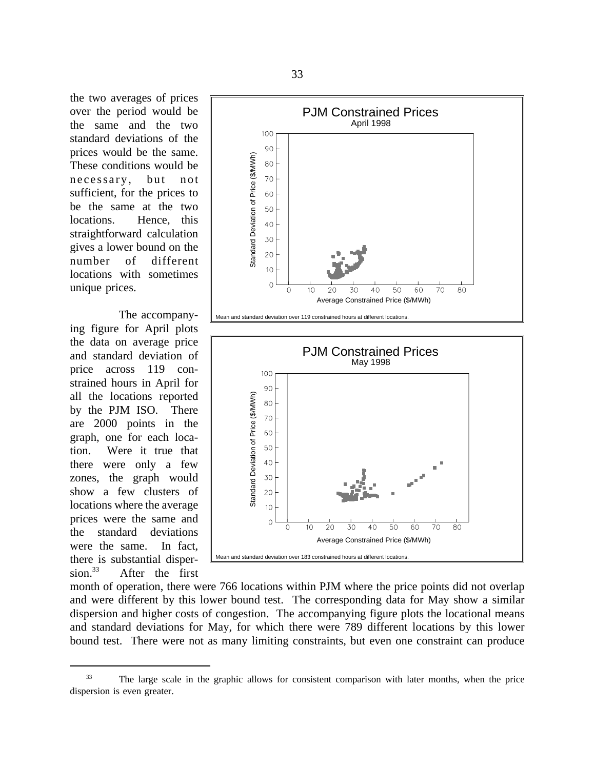the two averages of prices over the period would be the same and the two standard deviations of the prices would be the same. These conditions would be necessary, but not sufficient, for the prices to be the same at the two locations. Hence, this straightforward calculation gives a lower bound on the number of different locations with sometimes unique prices.

The accompanying figure for April plots the data on average price and standard deviation of price across 119 constrained hours in April for all the locations reported by the PJM ISO. There are 2000 points in the graph, one for each location. Were it true that there were only a few zones, the graph would show a few clusters of locations where the average prices were the same and the standard deviations were the same. In fact, there is substantial dispersion.<sup>33</sup> After the first





month of operation, there were 766 locations within PJM where the price points did not overlap and were different by this lower bound test. The corresponding data for May show a similar dispersion and higher costs of congestion. The accompanying figure plots the locational means and standard deviations for May, for which there were 789 different locations by this lower bound test. There were not as many limiting constraints, but even one constraint can produce

<sup>&</sup>lt;sup>33</sup> The large scale in the graphic allows for consistent comparison with later months, when the price dispersion is even greater.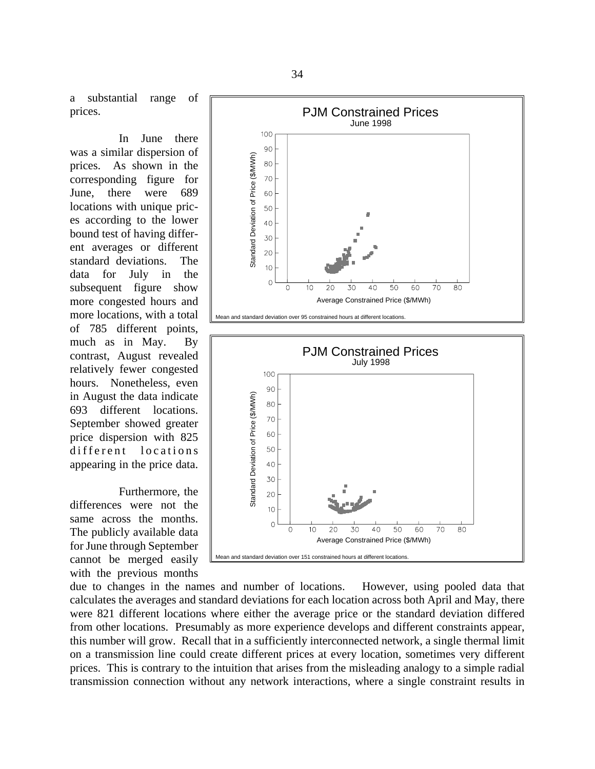a substantial range of prices.

In June there was a similar dispersion of prices. As shown in the corresponding figure for June, there were 689 locations with unique prices according to the lower bound test of having different averages or different standard deviations. The data for July in the subsequent figure show more congested hours and more locations, with a total of 785 different points, much as in May. By contrast, August revealed relatively fewer congested hours. Nonetheless, even in August the data indicate 693 different locations. September showed greater price dispersion with 825 different locations appearing in the price data.

Furthermore, the differences were not the same across the months. The publicly available data for June through September cannot be merged easily with the previous months





due to changes in the names and number of locations. However, using pooled data that calculates the averages and standard deviations for each location across both April and May, there were 821 different locations where either the average price or the standard deviation differed from other locations. Presumably as more experience develops and different constraints appear, this number will grow. Recall that in a sufficiently interconnected network, a single thermal limit on a transmission line could create different prices at every location, sometimes very different prices. This is contrary to the intuition that arises from the misleading analogy to a simple radial transmission connection without any network interactions, where a single constraint results in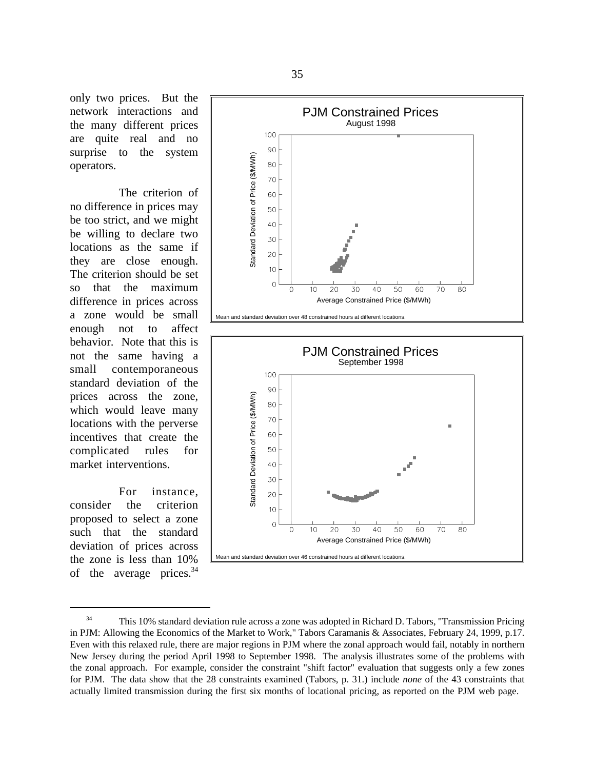only two prices. But the network interactions and the many different prices are quite real and no surprise to the system operators.

The criterion of no difference in prices may be too strict, and we might be willing to declare two locations as the same if they are close enough. The criterion should be set so that the maximum difference in prices across a zone would be small enough not to affect behavior. Note that this is not the same having a small contemporaneous standard deviation of the prices across the zone, which would leave many locations with the perverse incentives that create the complicated rules for market interventions.

For instance, consider the criterion proposed to select a zone such that the standard deviation of prices across the zone is less than 10% of the average prices.34





<sup>&</sup>lt;sup>34</sup> This 10% standard deviation rule across a zone was adopted in Richard D. Tabors, "Transmission Pricing in PJM: Allowing the Economics of the Market to Work," Tabors Caramanis & Associates, February 24, 1999, p.17. Even with this relaxed rule, there are major regions in PJM where the zonal approach would fail, notably in northern New Jersey during the period April 1998 to September 1998. The analysis illustrates some of the problems with the zonal approach. For example, consider the constraint "shift factor" evaluation that suggests only a few zones for PJM. The data show that the 28 constraints examined (Tabors, p. 31.) include *none* of the 43 constraints that actually limited transmission during the first six months of locational pricing, as reported on the PJM web page.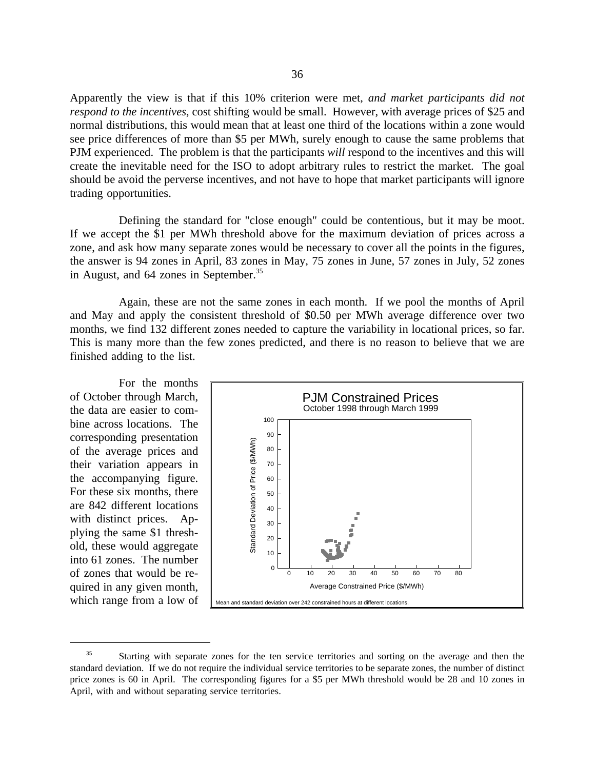Apparently the view is that if this 10% criterion were met, *and market participants did not respond to the incentives*, cost shifting would be small. However, with average prices of \$25 and normal distributions, this would mean that at least one third of the locations within a zone would see price differences of more than \$5 per MWh, surely enough to cause the same problems that PJM experienced. The problem is that the participants *will* respond to the incentives and this will create the inevitable need for the ISO to adopt arbitrary rules to restrict the market. The goal should be avoid the perverse incentives, and not have to hope that market participants will ignore trading opportunities.

Defining the standard for "close enough" could be contentious, but it may be moot. If we accept the \$1 per MWh threshold above for the maximum deviation of prices across a zone, and ask how many separate zones would be necessary to cover all the points in the figures, the answer is 94 zones in April, 83 zones in May, 75 zones in June, 57 zones in July, 52 zones in August, and 64 zones in September.<sup>35</sup>

Again, these are not the same zones in each month. If we pool the months of April and May and apply the consistent threshold of \$0.50 per MWh average difference over two months, we find 132 different zones needed to capture the variability in locational prices, so far. This is many more than the few zones predicted, and there is no reason to believe that we are finished adding to the list.

For the months of October through March, the data are easier to combine across locations. The corresponding presentation of the average prices and their variation appears in the accompanying figure. For these six months, there are 842 different locations with distinct prices. Applying the same \$1 threshold, these would aggregate into 61 zones. The number of zones that would be required in any given month, which range from a low of



<sup>&</sup>lt;sup>35</sup> Starting with separate zones for the ten service territories and sorting on the average and then the standard deviation. If we do not require the individual service territories to be separate zones, the number of distinct price zones is 60 in April. The corresponding figures for a \$5 per MWh threshold would be 28 and 10 zones in April, with and without separating service territories.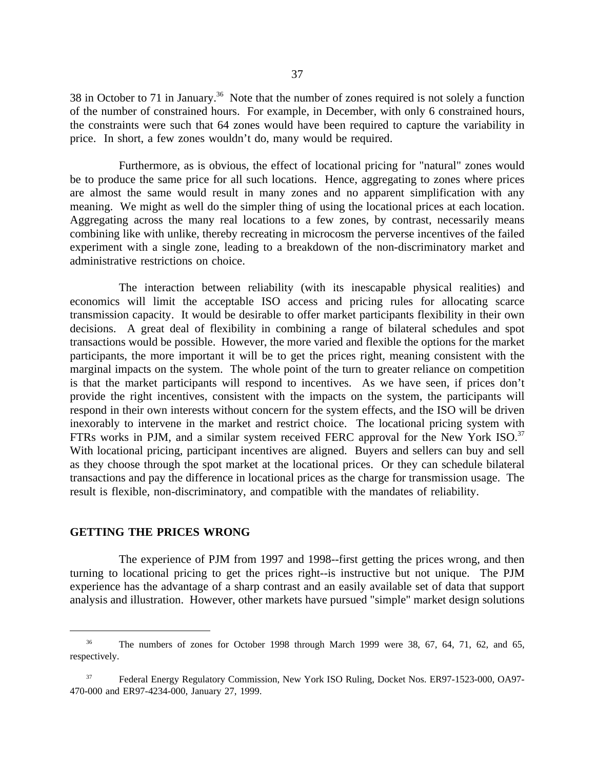38 in October to 71 in January.36 Note that the number of zones required is not solely a function of the number of constrained hours. For example, in December, with only 6 constrained hours, the constraints were such that 64 zones would have been required to capture the variability in price. In short, a few zones wouldn't do, many would be required.

Furthermore, as is obvious, the effect of locational pricing for "natural" zones would be to produce the same price for all such locations. Hence, aggregating to zones where prices are almost the same would result in many zones and no apparent simplification with any meaning. We might as well do the simpler thing of using the locational prices at each location. Aggregating across the many real locations to a few zones, by contrast, necessarily means combining like with unlike, thereby recreating in microcosm the perverse incentives of the failed experiment with a single zone, leading to a breakdown of the non-discriminatory market and administrative restrictions on choice.

The interaction between reliability (with its inescapable physical realities) and economics will limit the acceptable ISO access and pricing rules for allocating scarce transmission capacity. It would be desirable to offer market participants flexibility in their own decisions. A great deal of flexibility in combining a range of bilateral schedules and spot transactions would be possible. However, the more varied and flexible the options for the market participants, the more important it will be to get the prices right, meaning consistent with the marginal impacts on the system. The whole point of the turn to greater reliance on competition is that the market participants will respond to incentives. As we have seen, if prices don't provide the right incentives, consistent with the impacts on the system, the participants will respond in their own interests without concern for the system effects, and the ISO will be driven inexorably to intervene in the market and restrict choice. The locational pricing system with FTRs works in PJM, and a similar system received FERC approval for the New York ISO.<sup>37</sup> With locational pricing, participant incentives are aligned. Buyers and sellers can buy and sell as they choose through the spot market at the locational prices. Or they can schedule bilateral transactions and pay the difference in locational prices as the charge for transmission usage. The result is flexible, non-discriminatory, and compatible with the mandates of reliability.

#### **GETTING THE PRICES WRONG**

The experience of PJM from 1997 and 1998--first getting the prices wrong, and then turning to locational pricing to get the prices right--is instructive but not unique. The PJM experience has the advantage of a sharp contrast and an easily available set of data that support analysis and illustration. However, other markets have pursued "simple" market design solutions

<sup>&</sup>lt;sup>36</sup> The numbers of zones for October 1998 through March 1999 were 38, 67, 64, 71, 62, and 65, respectively.

<sup>&</sup>lt;sup>37</sup> Federal Energy Regulatory Commission, New York ISO Ruling, Docket Nos. ER97-1523-000, OA97-470-000 and ER97-4234-000, January 27, 1999.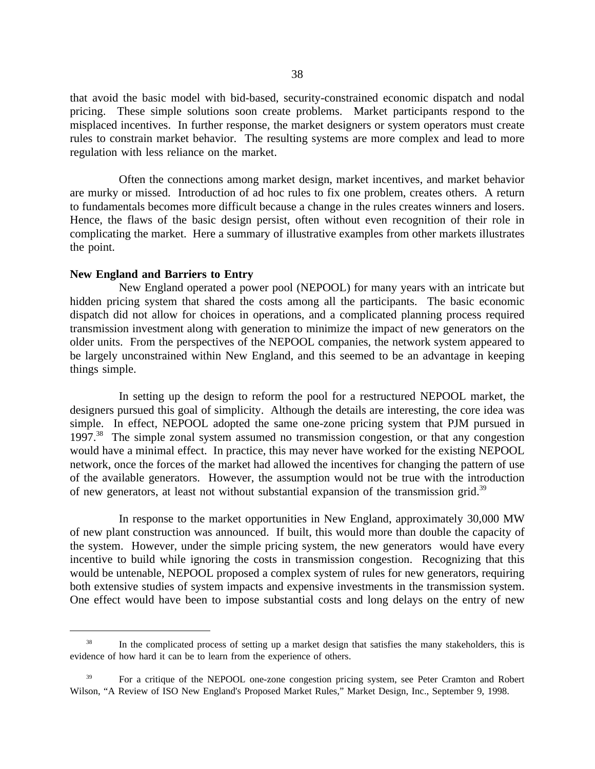that avoid the basic model with bid-based, security-constrained economic dispatch and nodal pricing. These simple solutions soon create problems. Market participants respond to the misplaced incentives. In further response, the market designers or system operators must create rules to constrain market behavior. The resulting systems are more complex and lead to more regulation with less reliance on the market.

Often the connections among market design, market incentives, and market behavior are murky or missed. Introduction of ad hoc rules to fix one problem, creates others. A return to fundamentals becomes more difficult because a change in the rules creates winners and losers. Hence, the flaws of the basic design persist, often without even recognition of their role in complicating the market. Here a summary of illustrative examples from other markets illustrates the point.

#### **New England and Barriers to Entry**

New England operated a power pool (NEPOOL) for many years with an intricate but hidden pricing system that shared the costs among all the participants. The basic economic dispatch did not allow for choices in operations, and a complicated planning process required transmission investment along with generation to minimize the impact of new generators on the older units. From the perspectives of the NEPOOL companies, the network system appeared to be largely unconstrained within New England, and this seemed to be an advantage in keeping things simple.

In setting up the design to reform the pool for a restructured NEPOOL market, the designers pursued this goal of simplicity. Although the details are interesting, the core idea was simple. In effect, NEPOOL adopted the same one-zone pricing system that PJM pursued in 1997.38 The simple zonal system assumed no transmission congestion, or that any congestion would have a minimal effect. In practice, this may never have worked for the existing NEPOOL network, once the forces of the market had allowed the incentives for changing the pattern of use of the available generators. However, the assumption would not be true with the introduction of new generators, at least not without substantial expansion of the transmission grid.<sup>39</sup>

In response to the market opportunities in New England, approximately 30,000 MW of new plant construction was announced. If built, this would more than double the capacity of the system. However, under the simple pricing system, the new generators would have every incentive to build while ignoring the costs in transmission congestion. Recognizing that this would be untenable, NEPOOL proposed a complex system of rules for new generators, requiring both extensive studies of system impacts and expensive investments in the transmission system. One effect would have been to impose substantial costs and long delays on the entry of new

<sup>&</sup>lt;sup>38</sup> In the complicated process of setting up a market design that satisfies the many stakeholders, this is evidence of how hard it can be to learn from the experience of others.

<sup>39</sup> For a critique of the NEPOOL one-zone congestion pricing system, see Peter Cramton and Robert Wilson, "A Review of ISO New England's Proposed Market Rules," Market Design, Inc., September 9, 1998.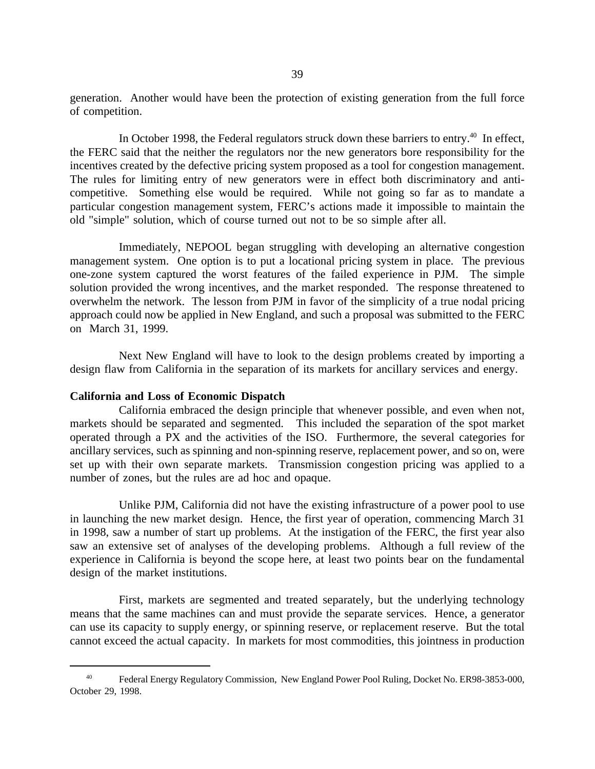generation. Another would have been the protection of existing generation from the full force of competition.

In October 1998, the Federal regulators struck down these barriers to entry.<sup>40</sup> In effect, the FERC said that the neither the regulators nor the new generators bore responsibility for the incentives created by the defective pricing system proposed as a tool for congestion management. The rules for limiting entry of new generators were in effect both discriminatory and anticompetitive. Something else would be required. While not going so far as to mandate a particular congestion management system, FERC's actions made it impossible to maintain the old "simple" solution, which of course turned out not to be so simple after all.

Immediately, NEPOOL began struggling with developing an alternative congestion management system. One option is to put a locational pricing system in place. The previous one-zone system captured the worst features of the failed experience in PJM. The simple solution provided the wrong incentives, and the market responded. The response threatened to overwhelm the network. The lesson from PJM in favor of the simplicity of a true nodal pricing approach could now be applied in New England, and such a proposal was submitted to the FERC on March 31, 1999.

Next New England will have to look to the design problems created by importing a design flaw from California in the separation of its markets for ancillary services and energy.

# **California and Loss of Economic Dispatch**

California embraced the design principle that whenever possible, and even when not, markets should be separated and segmented. This included the separation of the spot market operated through a PX and the activities of the ISO. Furthermore, the several categories for ancillary services, such as spinning and non-spinning reserve, replacement power, and so on, were set up with their own separate markets. Transmission congestion pricing was applied to a number of zones, but the rules are ad hoc and opaque.

Unlike PJM, California did not have the existing infrastructure of a power pool to use in launching the new market design. Hence, the first year of operation, commencing March 31 in 1998, saw a number of start up problems. At the instigation of the FERC, the first year also saw an extensive set of analyses of the developing problems. Although a full review of the experience in California is beyond the scope here, at least two points bear on the fundamental design of the market institutions.

First, markets are segmented and treated separately, but the underlying technology means that the same machines can and must provide the separate services. Hence, a generator can use its capacity to supply energy, or spinning reserve, or replacement reserve. But the total cannot exceed the actual capacity. In markets for most commodities, this jointness in production

<sup>&</sup>lt;sup>40</sup> Federal Energy Regulatory Commission, New England Power Pool Ruling, Docket No. ER98-3853-000, October 29, 1998.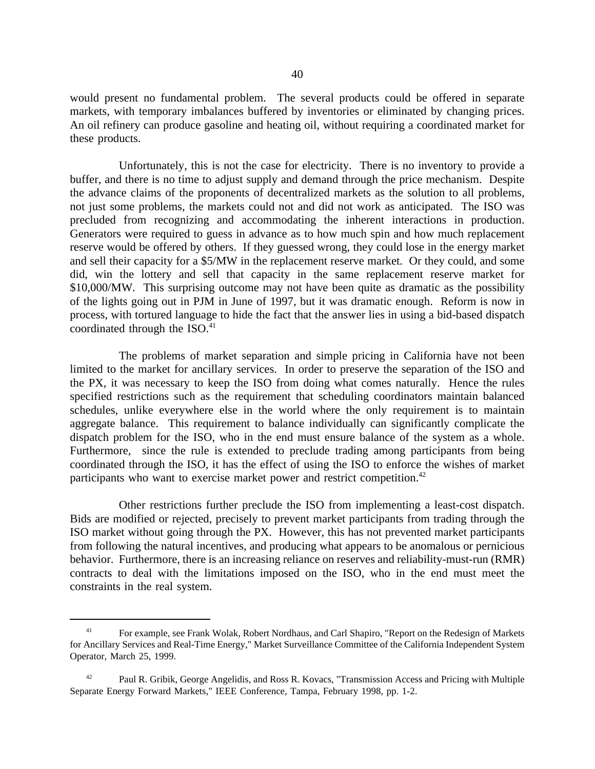would present no fundamental problem. The several products could be offered in separate markets, with temporary imbalances buffered by inventories or eliminated by changing prices. An oil refinery can produce gasoline and heating oil, without requiring a coordinated market for these products.

Unfortunately, this is not the case for electricity. There is no inventory to provide a buffer, and there is no time to adjust supply and demand through the price mechanism. Despite the advance claims of the proponents of decentralized markets as the solution to all problems, not just some problems, the markets could not and did not work as anticipated. The ISO was precluded from recognizing and accommodating the inherent interactions in production. Generators were required to guess in advance as to how much spin and how much replacement reserve would be offered by others. If they guessed wrong, they could lose in the energy market and sell their capacity for a \$5/MW in the replacement reserve market. Or they could, and some did, win the lottery and sell that capacity in the same replacement reserve market for \$10,000/MW. This surprising outcome may not have been quite as dramatic as the possibility of the lights going out in PJM in June of 1997, but it was dramatic enough. Reform is now in process, with tortured language to hide the fact that the answer lies in using a bid-based dispatch coordinated through the  $ISO.^{41}$ 

The problems of market separation and simple pricing in California have not been limited to the market for ancillary services. In order to preserve the separation of the ISO and the PX, it was necessary to keep the ISO from doing what comes naturally. Hence the rules specified restrictions such as the requirement that scheduling coordinators maintain balanced schedules, unlike everywhere else in the world where the only requirement is to maintain aggregate balance. This requirement to balance individually can significantly complicate the dispatch problem for the ISO, who in the end must ensure balance of the system as a whole. Furthermore, since the rule is extended to preclude trading among participants from being coordinated through the ISO, it has the effect of using the ISO to enforce the wishes of market participants who want to exercise market power and restrict competition.<sup>42</sup>

Other restrictions further preclude the ISO from implementing a least-cost dispatch. Bids are modified or rejected, precisely to prevent market participants from trading through the ISO market without going through the PX. However, this has not prevented market participants from following the natural incentives, and producing what appears to be anomalous or pernicious behavior. Furthermore, there is an increasing reliance on reserves and reliability-must-run (RMR) contracts to deal with the limitations imposed on the ISO, who in the end must meet the constraints in the real system.

<sup>&</sup>lt;sup>41</sup> For example, see Frank Wolak, Robert Nordhaus, and Carl Shapiro, "Report on the Redesign of Markets for Ancillary Services and Real-Time Energy," Market Surveillance Committee of the California Independent System Operator, March 25, 1999.

<sup>&</sup>lt;sup>42</sup> Paul R. Gribik, George Angelidis, and Ross R. Kovacs, "Transmission Access and Pricing with Multiple Separate Energy Forward Markets," IEEE Conference, Tampa, February 1998, pp. 1-2.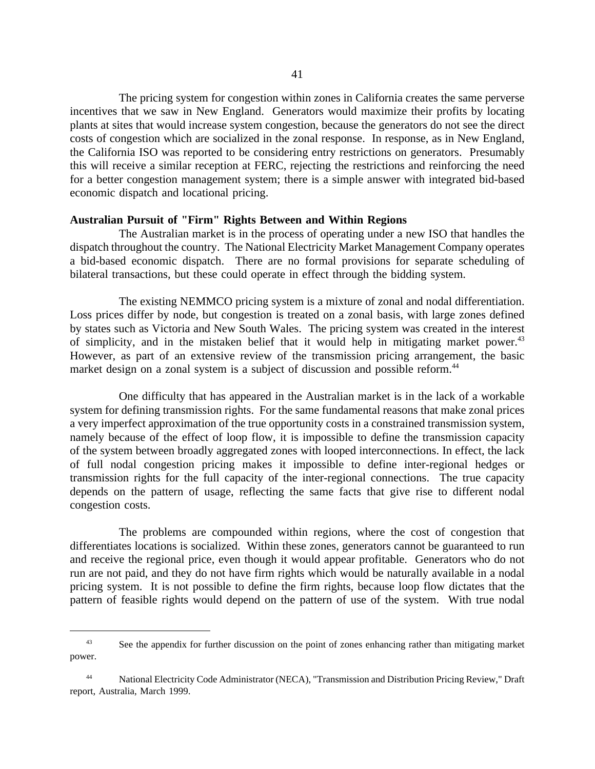The pricing system for congestion within zones in California creates the same perverse incentives that we saw in New England. Generators would maximize their profits by locating plants at sites that would increase system congestion, because the generators do not see the direct costs of congestion which are socialized in the zonal response. In response, as in New England, the California ISO was reported to be considering entry restrictions on generators. Presumably this will receive a similar reception at FERC, rejecting the restrictions and reinforcing the need for a better congestion management system; there is a simple answer with integrated bid-based economic dispatch and locational pricing.

#### **Australian Pursuit of "Firm" Rights Between and Within Regions**

The Australian market is in the process of operating under a new ISO that handles the dispatch throughout the country. The National Electricity Market Management Company operates a bid-based economic dispatch. There are no formal provisions for separate scheduling of bilateral transactions, but these could operate in effect through the bidding system.

The existing NEMMCO pricing system is a mixture of zonal and nodal differentiation. Loss prices differ by node, but congestion is treated on a zonal basis, with large zones defined by states such as Victoria and New South Wales. The pricing system was created in the interest of simplicity, and in the mistaken belief that it would help in mitigating market power.<sup>43</sup> However, as part of an extensive review of the transmission pricing arrangement, the basic market design on a zonal system is a subject of discussion and possible reform.<sup>44</sup>

One difficulty that has appeared in the Australian market is in the lack of a workable system for defining transmission rights. For the same fundamental reasons that make zonal prices a very imperfect approximation of the true opportunity costs in a constrained transmission system, namely because of the effect of loop flow, it is impossible to define the transmission capacity of the system between broadly aggregated zones with looped interconnections. In effect, the lack of full nodal congestion pricing makes it impossible to define inter-regional hedges or transmission rights for the full capacity of the inter-regional connections. The true capacity depends on the pattern of usage, reflecting the same facts that give rise to different nodal congestion costs.

The problems are compounded within regions, where the cost of congestion that differentiates locations is socialized. Within these zones, generators cannot be guaranteed to run and receive the regional price, even though it would appear profitable. Generators who do not run are not paid, and they do not have firm rights which would be naturally available in a nodal pricing system. It is not possible to define the firm rights, because loop flow dictates that the pattern of feasible rights would depend on the pattern of use of the system. With true nodal

<sup>&</sup>lt;sup>43</sup> See the appendix for further discussion on the point of zones enhancing rather than mitigating market power.

<sup>44</sup> National Electricity Code Administrator (NECA), "Transmission and Distribution Pricing Review," Draft report, Australia, March 1999.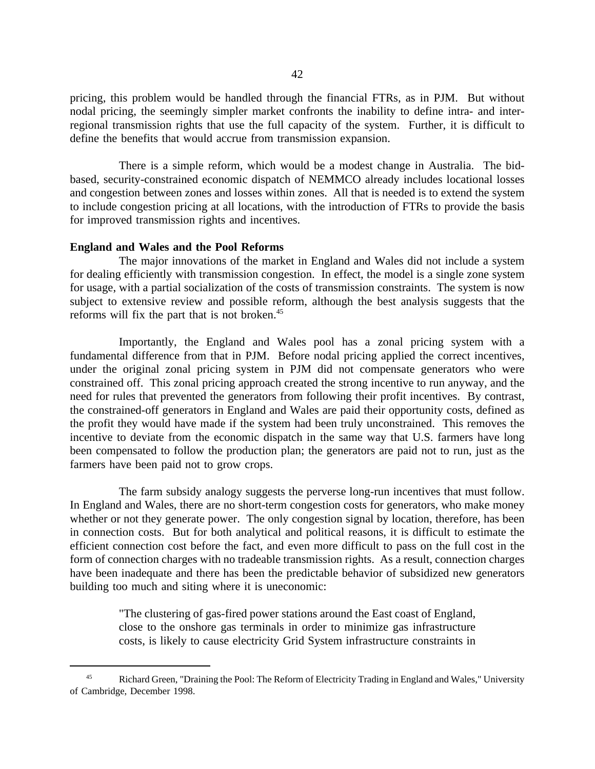pricing, this problem would be handled through the financial FTRs, as in PJM. But without nodal pricing, the seemingly simpler market confronts the inability to define intra- and interregional transmission rights that use the full capacity of the system. Further, it is difficult to define the benefits that would accrue from transmission expansion.

There is a simple reform, which would be a modest change in Australia. The bidbased, security-constrained economic dispatch of NEMMCO already includes locational losses and congestion between zones and losses within zones. All that is needed is to extend the system to include congestion pricing at all locations, with the introduction of FTRs to provide the basis for improved transmission rights and incentives.

#### **England and Wales and the Pool Reforms**

The major innovations of the market in England and Wales did not include a system for dealing efficiently with transmission congestion. In effect, the model is a single zone system for usage, with a partial socialization of the costs of transmission constraints. The system is now subject to extensive review and possible reform, although the best analysis suggests that the reforms will fix the part that is not broken.<sup>45</sup>

Importantly, the England and Wales pool has a zonal pricing system with a fundamental difference from that in PJM. Before nodal pricing applied the correct incentives, under the original zonal pricing system in PJM did not compensate generators who were constrained off. This zonal pricing approach created the strong incentive to run anyway, and the need for rules that prevented the generators from following their profit incentives. By contrast, the constrained-off generators in England and Wales are paid their opportunity costs, defined as the profit they would have made if the system had been truly unconstrained. This removes the incentive to deviate from the economic dispatch in the same way that U.S. farmers have long been compensated to follow the production plan; the generators are paid not to run, just as the farmers have been paid not to grow crops.

The farm subsidy analogy suggests the perverse long-run incentives that must follow. In England and Wales, there are no short-term congestion costs for generators, who make money whether or not they generate power. The only congestion signal by location, therefore, has been in connection costs. But for both analytical and political reasons, it is difficult to estimate the efficient connection cost before the fact, and even more difficult to pass on the full cost in the form of connection charges with no tradeable transmission rights. As a result, connection charges have been inadequate and there has been the predictable behavior of subsidized new generators building too much and siting where it is uneconomic:

> "The clustering of gas-fired power stations around the East coast of England, close to the onshore gas terminals in order to minimize gas infrastructure costs, is likely to cause electricity Grid System infrastructure constraints in

<sup>45</sup> Richard Green, "Draining the Pool: The Reform of Electricity Trading in England and Wales," University of Cambridge, December 1998.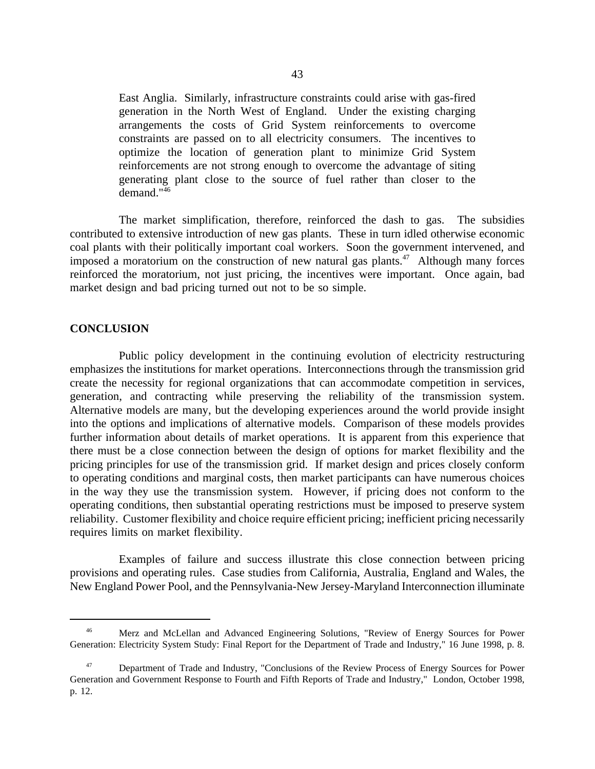East Anglia. Similarly, infrastructure constraints could arise with gas-fired generation in the North West of England. Under the existing charging arrangements the costs of Grid System reinforcements to overcome constraints are passed on to all electricity consumers. The incentives to optimize the location of generation plant to minimize Grid System reinforcements are not strong enough to overcome the advantage of siting generating plant close to the source of fuel rather than closer to the demand."46

The market simplification, therefore, reinforced the dash to gas. The subsidies contributed to extensive introduction of new gas plants. These in turn idled otherwise economic coal plants with their politically important coal workers. Soon the government intervened, and imposed a moratorium on the construction of new natural gas plants.<sup>47</sup> Although many forces reinforced the moratorium, not just pricing, the incentives were important. Once again, bad market design and bad pricing turned out not to be so simple.

## **CONCLUSION**

Public policy development in the continuing evolution of electricity restructuring emphasizes the institutions for market operations. Interconnections through the transmission grid create the necessity for regional organizations that can accommodate competition in services, generation, and contracting while preserving the reliability of the transmission system. Alternative models are many, but the developing experiences around the world provide insight into the options and implications of alternative models. Comparison of these models provides further information about details of market operations. It is apparent from this experience that there must be a close connection between the design of options for market flexibility and the pricing principles for use of the transmission grid. If market design and prices closely conform to operating conditions and marginal costs, then market participants can have numerous choices in the way they use the transmission system. However, if pricing does not conform to the operating conditions, then substantial operating restrictions must be imposed to preserve system reliability. Customer flexibility and choice require efficient pricing; inefficient pricing necessarily requires limits on market flexibility.

Examples of failure and success illustrate this close connection between pricing provisions and operating rules. Case studies from California, Australia, England and Wales, the New England Power Pool, and the Pennsylvania-New Jersey-Maryland Interconnection illuminate

<sup>46</sup> Merz and McLellan and Advanced Engineering Solutions, "Review of Energy Sources for Power Generation: Electricity System Study: Final Report for the Department of Trade and Industry," 16 June 1998, p. 8.

<sup>&</sup>lt;sup>47</sup> Department of Trade and Industry, "Conclusions of the Review Process of Energy Sources for Power Generation and Government Response to Fourth and Fifth Reports of Trade and Industry," London, October 1998, p. 12.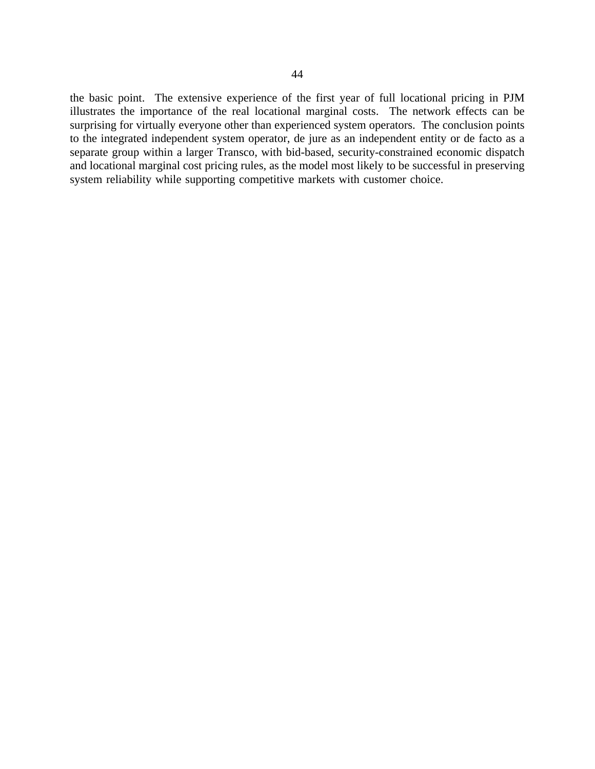the basic point. The extensive experience of the first year of full locational pricing in PJM illustrates the importance of the real locational marginal costs. The network effects can be surprising for virtually everyone other than experienced system operators. The conclusion points to the integrated independent system operator, de jure as an independent entity or de facto as a separate group within a larger Transco, with bid-based, security-constrained economic dispatch and locational marginal cost pricing rules, as the model most likely to be successful in preserving system reliability while supporting competitive markets with customer choice.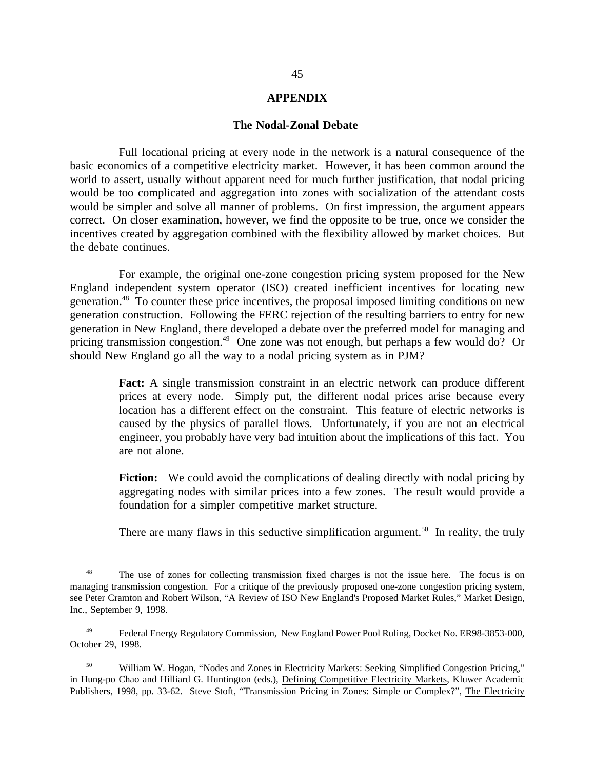#### **APPENDIX**

#### **The Nodal-Zonal Debate**

Full locational pricing at every node in the network is a natural consequence of the basic economics of a competitive electricity market. However, it has been common around the world to assert, usually without apparent need for much further justification, that nodal pricing would be too complicated and aggregation into zones with socialization of the attendant costs would be simpler and solve all manner of problems. On first impression, the argument appears correct. On closer examination, however, we find the opposite to be true, once we consider the incentives created by aggregation combined with the flexibility allowed by market choices. But the debate continues.

For example, the original one-zone congestion pricing system proposed for the New England independent system operator (ISO) created inefficient incentives for locating new generation.48 To counter these price incentives, the proposal imposed limiting conditions on new generation construction. Following the FERC rejection of the resulting barriers to entry for new generation in New England, there developed a debate over the preferred model for managing and pricing transmission congestion.49 One zone was not enough, but perhaps a few would do? Or should New England go all the way to a nodal pricing system as in PJM?

> **Fact:** A single transmission constraint in an electric network can produce different prices at every node. Simply put, the different nodal prices arise because every location has a different effect on the constraint. This feature of electric networks is caused by the physics of parallel flows. Unfortunately, if you are not an electrical engineer, you probably have very bad intuition about the implications of this fact. You are not alone.

> **Fiction:** We could avoid the complications of dealing directly with nodal pricing by aggregating nodes with similar prices into a few zones. The result would provide a foundation for a simpler competitive market structure.

> There are many flaws in this seductive simplification argument.<sup>50</sup> In reality, the truly

<sup>&</sup>lt;sup>48</sup> The use of zones for collecting transmission fixed charges is not the issue here. The focus is on managing transmission congestion. For a critique of the previously proposed one-zone congestion pricing system, see Peter Cramton and Robert Wilson, "A Review of ISO New England's Proposed Market Rules," Market Design, Inc., September 9, 1998.

<sup>49</sup> Federal Energy Regulatory Commission, New England Power Pool Ruling, Docket No. ER98-3853-000, October 29, 1998.

<sup>50</sup> William W. Hogan, "Nodes and Zones in Electricity Markets: Seeking Simplified Congestion Pricing," in Hung-po Chao and Hilliard G. Huntington (eds.), Defining Competitive Electricity Markets, Kluwer Academic Publishers, 1998, pp. 33-62. Steve Stoft, "Transmission Pricing in Zones: Simple or Complex?", The Electricity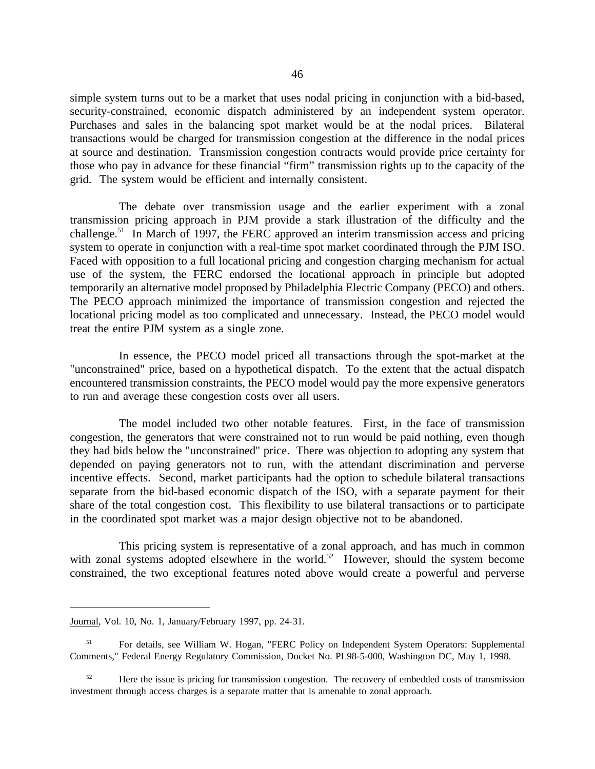simple system turns out to be a market that uses nodal pricing in conjunction with a bid-based, security-constrained, economic dispatch administered by an independent system operator. Purchases and sales in the balancing spot market would be at the nodal prices. Bilateral transactions would be charged for transmission congestion at the difference in the nodal prices at source and destination. Transmission congestion contracts would provide price certainty for those who pay in advance for these financial "firm" transmission rights up to the capacity of the grid. The system would be efficient and internally consistent.

The debate over transmission usage and the earlier experiment with a zonal transmission pricing approach in PJM provide a stark illustration of the difficulty and the challenge.<sup>51</sup> In March of 1997, the FERC approved an interim transmission access and pricing system to operate in conjunction with a real-time spot market coordinated through the PJM ISO. Faced with opposition to a full locational pricing and congestion charging mechanism for actual use of the system, the FERC endorsed the locational approach in principle but adopted temporarily an alternative model proposed by Philadelphia Electric Company (PECO) and others. The PECO approach minimized the importance of transmission congestion and rejected the locational pricing model as too complicated and unnecessary. Instead, the PECO model would treat the entire PJM system as a single zone.

In essence, the PECO model priced all transactions through the spot-market at the "unconstrained" price, based on a hypothetical dispatch. To the extent that the actual dispatch encountered transmission constraints, the PECO model would pay the more expensive generators to run and average these congestion costs over all users.

The model included two other notable features. First, in the face of transmission congestion, the generators that were constrained not to run would be paid nothing, even though they had bids below the "unconstrained" price. There was objection to adopting any system that depended on paying generators not to run, with the attendant discrimination and perverse incentive effects. Second, market participants had the option to schedule bilateral transactions separate from the bid-based economic dispatch of the ISO, with a separate payment for their share of the total congestion cost. This flexibility to use bilateral transactions or to participate in the coordinated spot market was a major design objective not to be abandoned.

This pricing system is representative of a zonal approach, and has much in common with zonal systems adopted elsewhere in the world.<sup>52</sup> However, should the system become constrained, the two exceptional features noted above would create a powerful and perverse

Journal, Vol. 10, No. 1, January/February 1997, pp. 24-31.

<sup>&</sup>lt;sup>51</sup> For details, see William W. Hogan, "FERC Policy on Independent System Operators: Supplemental Comments," Federal Energy Regulatory Commission, Docket No. PL98-5-000, Washington DC, May 1, 1998.

<sup>&</sup>lt;sup>52</sup> Here the issue is pricing for transmission congestion. The recovery of embedded costs of transmission investment through access charges is a separate matter that is amenable to zonal approach.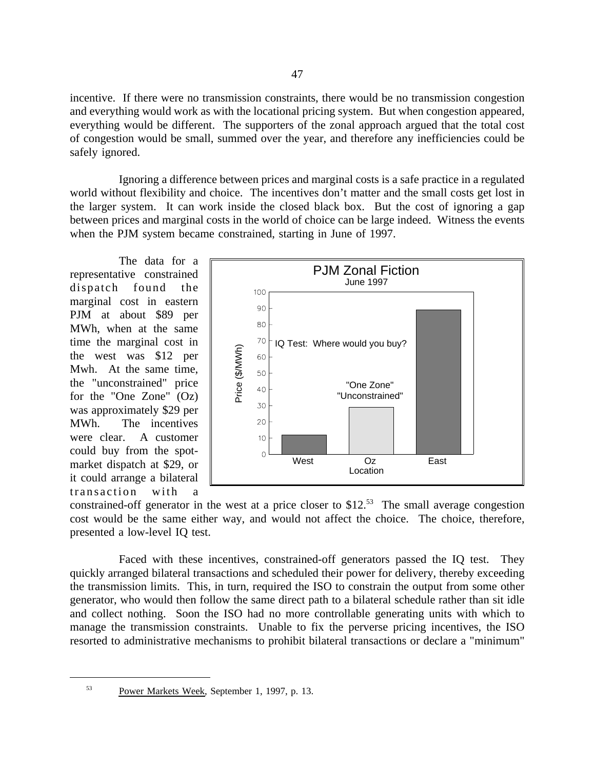incentive. If there were no transmission constraints, there would be no transmission congestion and everything would work as with the locational pricing system. But when congestion appeared, everything would be different. The supporters of the zonal approach argued that the total cost of congestion would be small, summed over the year, and therefore any inefficiencies could be safely ignored.

Ignoring a difference between prices and marginal costs is a safe practice in a regulated world without flexibility and choice. The incentives don't matter and the small costs get lost in the larger system. It can work inside the closed black box. But the cost of ignoring a gap between prices and marginal costs in the world of choice can be large indeed. Witness the events when the PJM system became constrained, starting in June of 1997.

The data for a representative constrained dispatch found the marginal cost in eastern PJM at about \$89 per MWh, when at the same time the marginal cost in the west was \$12 per Mwh. At the same time, the "unconstrained" price for the "One Zone" (Oz) was approximately \$29 per MWh. The incentives were clear. A customer could buy from the spotmarket dispatch at \$29, or it could arrange a bilateral transaction with a



constrained-off generator in the west at a price closer to  $$12<sup>53</sup>$ . The small average congestion cost would be the same either way, and would not affect the choice. The choice, therefore, presented a low-level IQ test.

Faced with these incentives, constrained-off generators passed the IQ test. They quickly arranged bilateral transactions and scheduled their power for delivery, thereby exceeding the transmission limits. This, in turn, required the ISO to constrain the output from some other generator, who would then follow the same direct path to a bilateral schedule rather than sit idle and collect nothing. Soon the ISO had no more controllable generating units with which to manage the transmission constraints. Unable to fix the perverse pricing incentives, the ISO resorted to administrative mechanisms to prohibit bilateral transactions or declare a "minimum"

<sup>53</sup> Power Markets Week, September 1, 1997, p. 13.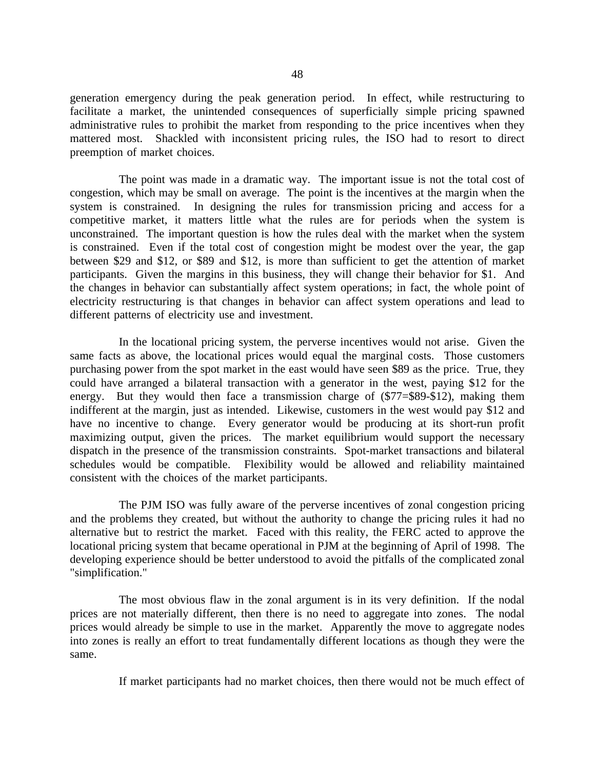generation emergency during the peak generation period. In effect, while restructuring to facilitate a market, the unintended consequences of superficially simple pricing spawned administrative rules to prohibit the market from responding to the price incentives when they mattered most. Shackled with inconsistent pricing rules, the ISO had to resort to direct preemption of market choices.

The point was made in a dramatic way. The important issue is not the total cost of congestion, which may be small on average. The point is the incentives at the margin when the system is constrained. In designing the rules for transmission pricing and access for a competitive market, it matters little what the rules are for periods when the system is unconstrained. The important question is how the rules deal with the market when the system is constrained. Even if the total cost of congestion might be modest over the year, the gap between \$29 and \$12, or \$89 and \$12, is more than sufficient to get the attention of market participants. Given the margins in this business, they will change their behavior for \$1. And the changes in behavior can substantially affect system operations; in fact, the whole point of electricity restructuring is that changes in behavior can affect system operations and lead to different patterns of electricity use and investment.

In the locational pricing system, the perverse incentives would not arise. Given the same facts as above, the locational prices would equal the marginal costs. Those customers purchasing power from the spot market in the east would have seen \$89 as the price. True, they could have arranged a bilateral transaction with a generator in the west, paying \$12 for the energy. But they would then face a transmission charge of (\$77=\$89-\$12), making them indifferent at the margin, just as intended. Likewise, customers in the west would pay \$12 and have no incentive to change. Every generator would be producing at its short-run profit maximizing output, given the prices. The market equilibrium would support the necessary dispatch in the presence of the transmission constraints. Spot-market transactions and bilateral schedules would be compatible. Flexibility would be allowed and reliability maintained consistent with the choices of the market participants.

The PJM ISO was fully aware of the perverse incentives of zonal congestion pricing and the problems they created, but without the authority to change the pricing rules it had no alternative but to restrict the market. Faced with this reality, the FERC acted to approve the locational pricing system that became operational in PJM at the beginning of April of 1998. The developing experience should be better understood to avoid the pitfalls of the complicated zonal "simplification."

The most obvious flaw in the zonal argument is in its very definition. If the nodal prices are not materially different, then there is no need to aggregate into zones. The nodal prices would already be simple to use in the market. Apparently the move to aggregate nodes into zones is really an effort to treat fundamentally different locations as though they were the same.

If market participants had no market choices, then there would not be much effect of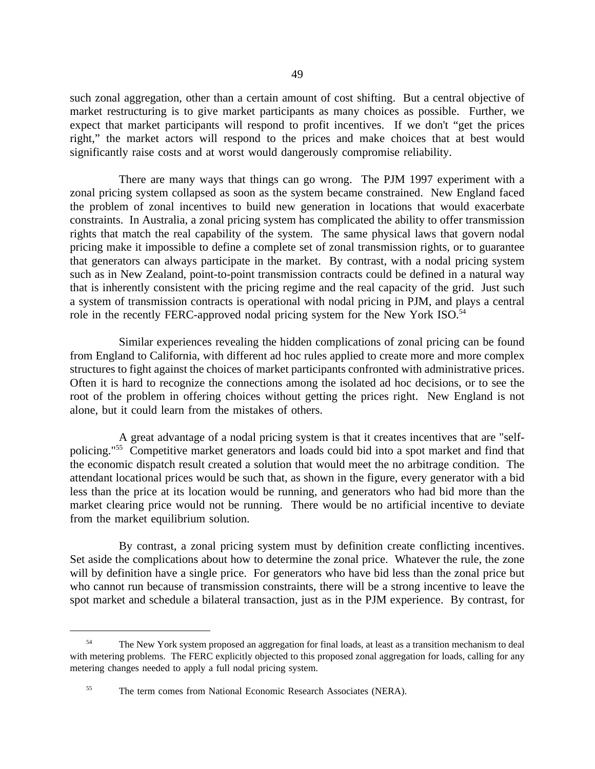such zonal aggregation, other than a certain amount of cost shifting. But a central objective of market restructuring is to give market participants as many choices as possible. Further, we expect that market participants will respond to profit incentives. If we don't "get the prices right," the market actors will respond to the prices and make choices that at best would significantly raise costs and at worst would dangerously compromise reliability.

There are many ways that things can go wrong. The PJM 1997 experiment with a zonal pricing system collapsed as soon as the system became constrained. New England faced the problem of zonal incentives to build new generation in locations that would exacerbate constraints. In Australia, a zonal pricing system has complicated the ability to offer transmission rights that match the real capability of the system. The same physical laws that govern nodal pricing make it impossible to define a complete set of zonal transmission rights, or to guarantee that generators can always participate in the market. By contrast, with a nodal pricing system such as in New Zealand, point-to-point transmission contracts could be defined in a natural way that is inherently consistent with the pricing regime and the real capacity of the grid. Just such a system of transmission contracts is operational with nodal pricing in PJM, and plays a central role in the recently FERC-approved nodal pricing system for the New York ISO.<sup>54</sup>

Similar experiences revealing the hidden complications of zonal pricing can be found from England to California, with different ad hoc rules applied to create more and more complex structures to fight against the choices of market participants confronted with administrative prices. Often it is hard to recognize the connections among the isolated ad hoc decisions, or to see the root of the problem in offering choices without getting the prices right. New England is not alone, but it could learn from the mistakes of others.

A great advantage of a nodal pricing system is that it creates incentives that are "selfpolicing."55 Competitive market generators and loads could bid into a spot market and find that the economic dispatch result created a solution that would meet the no arbitrage condition. The attendant locational prices would be such that, as shown in the figure, every generator with a bid less than the price at its location would be running, and generators who had bid more than the market clearing price would not be running. There would be no artificial incentive to deviate from the market equilibrium solution.

By contrast, a zonal pricing system must by definition create conflicting incentives. Set aside the complications about how to determine the zonal price. Whatever the rule, the zone will by definition have a single price. For generators who have bid less than the zonal price but who cannot run because of transmission constraints, there will be a strong incentive to leave the spot market and schedule a bilateral transaction, just as in the PJM experience. By contrast, for

<sup>&</sup>lt;sup>54</sup> The New York system proposed an aggregation for final loads, at least as a transition mechanism to deal with metering problems. The FERC explicitly objected to this proposed zonal aggregation for loads, calling for any metering changes needed to apply a full nodal pricing system.

<sup>&</sup>lt;sup>55</sup> The term comes from National Economic Research Associates (NERA).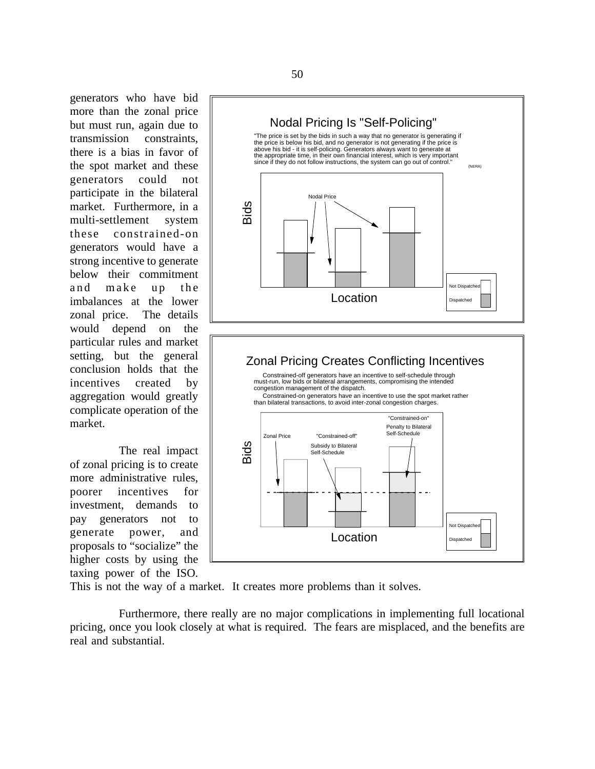generators who have bid more than the zonal price but must run, again due to transmission constraints, there is a bias in favor of the spot market and these generators could not participate in the bilateral market. Furthermore, in a multi-settlement system these constrained-on generators would have a strong incentive to generate below their commitment and make up the imbalances at the lower zonal price. The details would depend on the particular rules and market setting, but the general conclusion holds that the incentives created by aggregation would greatly complicate operation of the market.

The real impact of zonal pricing is to create more administrative rules, poorer incentives for investment, demands to pay generators not to generate power, and proposals to "socialize" the higher costs by using the taxing power of the ISO.



This is not the way of a market. It creates more problems than it solves.

Furthermore, there really are no major complications in implementing full locational pricing, once you look closely at what is required. The fears are misplaced, and the benefits are real and substantial.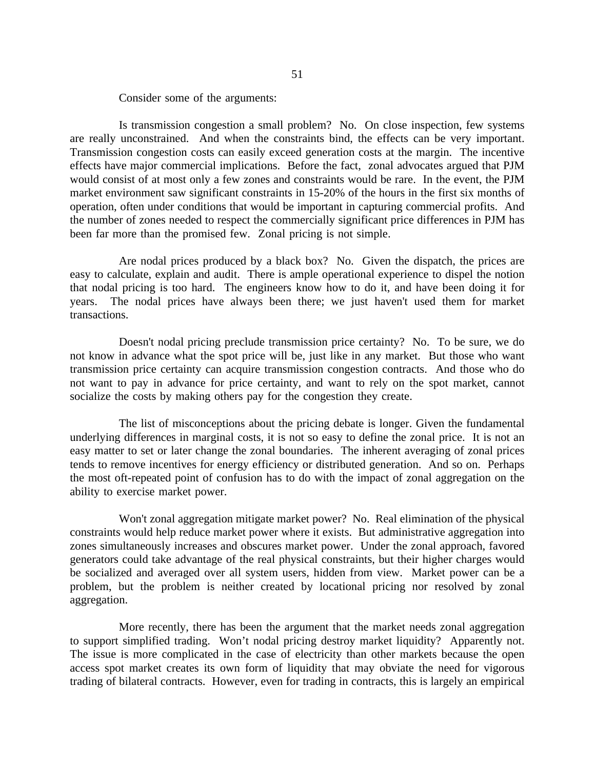Consider some of the arguments:

Is transmission congestion a small problem? No. On close inspection, few systems are really unconstrained. And when the constraints bind, the effects can be very important. Transmission congestion costs can easily exceed generation costs at the margin. The incentive effects have major commercial implications. Before the fact, zonal advocates argued that PJM would consist of at most only a few zones and constraints would be rare. In the event, the PJM market environment saw significant constraints in 15-20% of the hours in the first six months of operation, often under conditions that would be important in capturing commercial profits. And the number of zones needed to respect the commercially significant price differences in PJM has been far more than the promised few. Zonal pricing is not simple.

Are nodal prices produced by a black box? No. Given the dispatch, the prices are easy to calculate, explain and audit. There is ample operational experience to dispel the notion that nodal pricing is too hard. The engineers know how to do it, and have been doing it for years. The nodal prices have always been there; we just haven't used them for market transactions.

Doesn't nodal pricing preclude transmission price certainty? No. To be sure, we do not know in advance what the spot price will be, just like in any market. But those who want transmission price certainty can acquire transmission congestion contracts. And those who do not want to pay in advance for price certainty, and want to rely on the spot market, cannot socialize the costs by making others pay for the congestion they create.

The list of misconceptions about the pricing debate is longer. Given the fundamental underlying differences in marginal costs, it is not so easy to define the zonal price. It is not an easy matter to set or later change the zonal boundaries. The inherent averaging of zonal prices tends to remove incentives for energy efficiency or distributed generation. And so on. Perhaps the most oft-repeated point of confusion has to do with the impact of zonal aggregation on the ability to exercise market power.

Won't zonal aggregation mitigate market power? No. Real elimination of the physical constraints would help reduce market power where it exists. But administrative aggregation into zones simultaneously increases and obscures market power. Under the zonal approach, favored generators could take advantage of the real physical constraints, but their higher charges would be socialized and averaged over all system users, hidden from view. Market power can be a problem, but the problem is neither created by locational pricing nor resolved by zonal aggregation.

More recently, there has been the argument that the market needs zonal aggregation to support simplified trading. Won't nodal pricing destroy market liquidity? Apparently not. The issue is more complicated in the case of electricity than other markets because the open access spot market creates its own form of liquidity that may obviate the need for vigorous trading of bilateral contracts. However, even for trading in contracts, this is largely an empirical